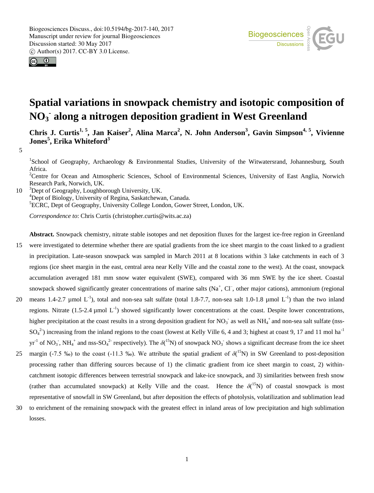



# **Spatial variations in snowpack chemistry and isotopic composition of NO<sup>3</sup> - along a nitrogen deposition gradient in West Greenland**

**Chris J. Curtis1, 5, Jan Kaiser<sup>2</sup> , Alina Marca<sup>2</sup> , N. John Anderson<sup>3</sup> , Gavin Simpson4, 5, Vivienne Jones<sup>5</sup> , Erika Whiteford<sup>3</sup>**

5

<sup>1</sup>School of Geography, Archaeology & Environmental Studies, University of the Witwatersrand, Johannesburg, South Africa.

<sup>2</sup>Centre for Ocean and Atmospheric Sciences, School of Environmental Sciences, University of East Anglia, Norwich Research Park, Norwich, UK.

10 <sup>3</sup>Dept of Geography, Loughborough University, UK.

<sup>4</sup>Dept of Biology, University of Regina, Saskatchewan, Canada.

<sup>5</sup>ECRC, Dept of Geography, University College London, Gower Street, London, UK.

*Correspondence to*: Chris Curtis (christopher.curtis@wits.ac.za)

**Abstract.** Snowpack chemistry, nitrate stable isotopes and net deposition fluxes for the largest ice-free region in Greenland

- 15 were investigated to determine whether there are spatial gradients from the ice sheet margin to the coast linked to a gradient in precipitation. Late-season snowpack was sampled in March 2011 at 8 locations within 3 lake catchments in each of 3 regions (ice sheet margin in the east, central area near Kelly Ville and the coastal zone to the west). At the coast, snowpack accumulation averaged 181 mm snow water equivalent (SWE), compared with 36 mm SWE by the ice sheet. Coastal snowpack showed significantly greater concentrations of marine salts  $(Na^+, C\Gamma)$ , other major cations), ammonium (regional
- 20 means 1.4-2.7 µmol  $L^{-1}$ ), total and non-sea salt sulfate (total 1.8-7.7, non-sea salt 1.0-1.8 µmol  $L^{-1}$ ) than the two inland regions. Nitrate (1.5-2.4 µmol  $L^{-1}$ ) showed significantly lower concentrations at the coast. Despite lower concentrations, higher precipitation at the coast results in a strong deposition gradient for  $NO_3^-$  as well as  $NH_4^+$  and non-sea salt sulfate (nss- $SO_4^2$ ) increasing from the inland regions to the coast (lowest at Kelly Ville 6, 4 and 3; highest at coast 9, 17 and 11 mol ha<sup>-1</sup>  $yr^{-1}$  of NO<sub>3</sub><sup>-</sup>, NH<sub>4</sub><sup>+</sup> and nss-SO<sub>4</sub><sup>2-</sup> respectively). The  $\delta(^{15}N)$  of snowpack NO<sub>3</sub><sup>-</sup> shows a significant decrease from the ice sheet
- 25 margin (-7.5 ‰) to the coast (-11.3 ‰). We attribute the spatial gradient of  $\delta(^{15}N)$  in SW Greenland to post-deposition processing rather than differing sources because of 1) the climatic gradient from ice sheet margin to coast, 2) withincatchment isotopic differences between terrestrial snowpack and lake-ice snowpack, and 3) similarities between fresh snow (rather than accumulated snowpack) at Kelly Ville and the coast. Hence the  $\delta(^{15}N)$  of coastal snowpack is most representative of snowfall in SW Greenland, but after deposition the effects of photolysis, volatilization and sublimation lead
- 30 to enrichment of the remaining snowpack with the greatest effect in inland areas of low precipitation and high sublimation losses.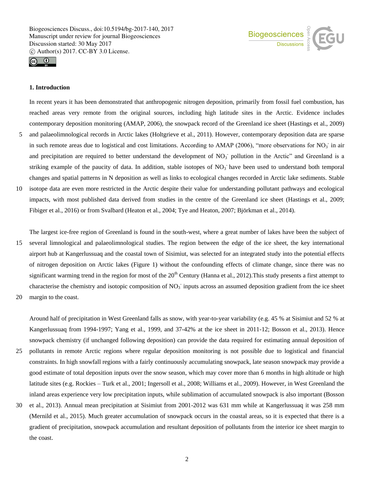



# **1. Introduction**

In recent years it has been demonstrated that anthropogenic nitrogen deposition, primarily from fossil fuel combustion, has reached areas very remote from the original sources, including high latitude sites in the Arctic. Evidence includes contemporary deposition monitoring (AMAP, 2006), the snowpack record of the Greenland ice sheet (Hastings et al., 2009) 5 and palaeolimnological records in Arctic lakes (Holtgrieve et al., 2011). However, contemporary deposition data are sparse in such remote areas due to logistical and cost limitations. According to AMAP (2006), "more observations for  $NO<sub>3</sub>$  in air and precipitation are required to better understand the development of  $NO<sub>3</sub>$  pollution in the Arctic" and Greenland is a striking example of the paucity of data. In addition, stable isotopes of  $NO<sub>3</sub>$  have been used to understand both temporal changes and spatial patterns in N deposition as well as links to ecological changes recorded in Arctic lake sediments. Stable 10 isotope data are even more restricted in the Arctic despite their value for understanding pollutant pathways and ecological impacts, with most published data derived from studies in the centre of the Greenland ice sheet (Hastings et al., 2009;

Fibiger et al., 2016) or from Svalbard (Heaton et al., 2004; Tye and Heaton, 2007; Björkman et al., 2014).

The largest ice-free region of Greenland is found in the south-west, where a great number of lakes have been the subject of 15 several limnological and palaeolimnological studies. The region between the edge of the ice sheet, the key international airport hub at Kangerlussuaq and the coastal town of Sisimiut, was selected for an integrated study into the potential effects of nitrogen deposition on Arctic lakes (Figure 1) without the confounding effects of climate change, since there was no significant warming trend in the region for most of the  $20<sup>th</sup>$  Century (Hanna et al., 2012). This study presents a first attempt to characterise the chemistry and isotopic composition of  $NO<sub>3</sub>$  inputs across an assumed deposition gradient from the ice sheet

20 margin to the coast.

Around half of precipitation in West Greenland falls as snow, with year-to-year variability (e.g. 45 % at Sisimiut and 52 % at Kangerlussuaq from 1994-1997; Yang et al., 1999, and 37-42% at the ice sheet in 2011-12; Bosson et al., 2013). Hence snowpack chemistry (if unchanged following deposition) can provide the data required for estimating annual deposition of

- 25 pollutants in remote Arctic regions where regular deposition monitoring is not possible due to logistical and financial constraints. In high snowfall regions with a fairly continuously accumulating snowpack, late season snowpack may provide a good estimate of total deposition inputs over the snow season, which may cover more than 6 months in high altitude or high latitude sites (e.g. Rockies – Turk et al., 2001; Ingersoll et al., 2008; Williams et al., 2009). However, in West Greenland the inland areas experience very low precipitation inputs, while sublimation of accumulated snowpack is also important (Bosson
- 30 et al., 2013). Annual mean precipitation at Sisimiut from 2001-2012 was 631 mm while at Kangerlussuaq it was 258 mm (Mernild et al., 2015). Much greater accumulation of snowpack occurs in the coastal areas, so it is expected that there is a gradient of precipitation, snowpack accumulation and resultant deposition of pollutants from the interior ice sheet margin to the coast.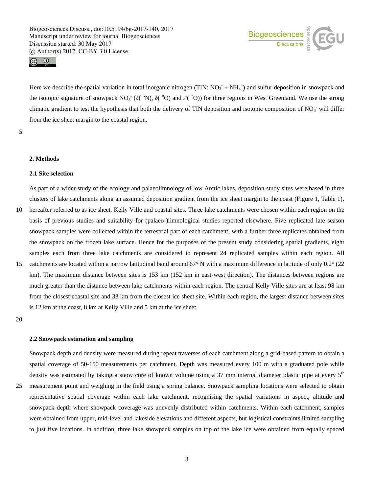



Here we describe the spatial variation in total inorganic nitrogen (TIN:  $NO_3^- + NH_4^+$ ) and sulfur deposition in snowpack and the isotopic signature of snowpack  $NO_3^- (\delta(^{15}N), \delta(^{18}O)$  and  $\Lambda(^{17}O)$ ) for three regions in West Greenland. We use the strong climatic gradient to test the hypothesis that both the delivery of TIN deposition and isotopic composition of  $NO<sub>3</sub>$  will differ from the ice sheet margin to the coastal region.

5

# **2. Methods**

# **2.1 Site selection**

As part of a wider study of the ecology and palaeolimnology of low Arctic lakes, deposition study sites were based in three clusters of lake catchments along an assumed deposition gradient from the ice sheet margin to the coast (Figure 1, Table 1),

- 10 hereafter referred to as ice sheet, Kelly Ville and coastal sites. Three lake catchments were chosen within each region on the basis of previous studies and suitability for (palaeo-)limnological studies reported elsewhere. Five replicated late season snowpack samples were collected within the terrestrial part of each catchment, with a further three replicates obtained from the snowpack on the frozen lake surface. Hence for the purposes of the present study considering spatial gradients, eight samples each from three lake catchments are considered to represent 24 replicated samples within each region. All
- 15 catchments are located within a narrow latitudinal band around 67° N with a maximum difference in latitude of only 0.2° (22 km). The maximum distance between sites is 153 km (152 km in east-west direction). The distances between regions are much greater than the distance between lake catchments within each region. The central Kelly Ville sites are at least 98 km from the closest coastal site and 33 km from the closest ice sheet site. Within each region, the largest distance between sites is 12 km at the coast, 8 km at Kelly Ville and 5 km at the ice sheet.

20

#### **2.2 Snowpack estimation and sampling**

Snowpack depth and density were measured during repeat traverses of each catchment along a grid-based pattern to obtain a spatial coverage of 50-150 measurements per catchment. Depth was measured every 100 m with a graduated pole while density was estimated by taking a snow core of known volume using a 37 mm internal diameter plastic pipe at every 5<sup>th</sup>

25 measurement point and weighing in the field using a spring balance. Snowpack sampling locations were selected to obtain representative spatial coverage within each lake catchment, recognising the spatial variations in aspect, altitude and snowpack depth where snowpack coverage was unevenly distributed within catchments. Within each catchment, samples were obtained from upper, mid-level and lakeside elevations and different aspects, but logistical constraints limited sampling to just five locations. In addition, three lake snowpack samples on top of the lake ice were obtained from equally spaced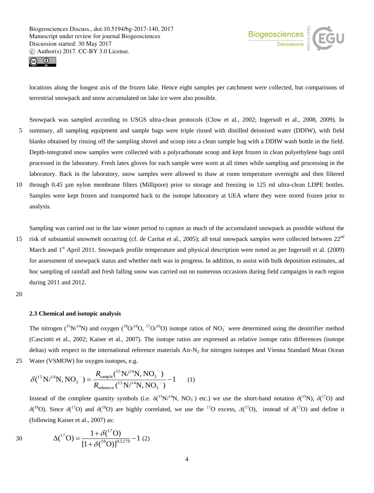



locations along the longest axis of the frozen lake. Hence eight samples per catchment were collected, but comparisons of terrestrial snowpack and snow accumulated on lake ice were also possible.

Snowpack was sampled according to USGS ultra-clean protocols (Clow et al., 2002; Ingersoll et al., 2008, 2009). In 5 summary, all sampling equipment and sample bags were triple rinsed with distilled deionised water (DDIW), with field blanks obtained by rinsing off the sampling shovel and scoop into a clean sample bag with a DDIW wash bottle in the field. Depth-integrated snow samples were collected with a polycarbonate scoop and kept frozen in clean polyethylene bags until processed in the laboratory. Fresh latex gloves for each sample were worn at all times while sampling and processing in the laboratory. Back in the laboratory, snow samples were allowed to thaw at room temperature overnight and then filtered

10 through 0.45 µm nylon membrane filters (Millipore) prior to storage and freezing in 125 ml ultra-clean LDPE bottles. Samples were kept frozen and transported back to the isotope laboratory at UEA where they were stored frozen prior to analysis.

Sampling was carried out in the late winter period to capture as much of the accumulated snowpack as possible without the

15 risk of substantial snowmelt occurring (cf. de Caritat et al., 2005); all total snowpack samples were collected between  $22<sup>nd</sup>$ March and 1<sup>st</sup> April 2011. Snowpack profile temperature and physical description were noted as per Ingersoll et al. (2009) for assessment of snowpack status and whether melt was in progress. In addition, to assist with bulk deposition estimates, ad hoc sampling of rainfall and fresh falling snow was carried out on numerous occasions during field campaigns in each region during 2011 and 2012.

20

# **2.3 Chemical and isotopic analysis**

The nitrogen ( ${}^{15}N/{}^{14}N$ ) and oxygen ( ${}^{18}O/{}^{16}O$ ,  ${}^{17}O/{}^{16}O$ ) isotope ratios of  $NO_3^-$  were determined using the denitrifier method (Casciotti et al., 2002; Kaiser et al., 2007). The isotope ratios are expressed as relative isotope ratio differences (isotope deltas) with respect to the international reference materials Air-N<sub>2</sub> for nitrogen isotopes and Vienna Standard Mean Ocean

25 Water (VSMOW) for oxygen isotopes, e.g.  
\n
$$
\delta({}^{15}N/{}^{14}N, NO_3^-) = \frac{R_{sample}({}^{15}N/{}^{14}N, NO_3^-)}{R_{reference}({}^{15}N/{}^{14}N, NO_3^-)} - 1
$$
\n(1)

Instead of the complete quantity symbols (i.e.  $\delta(^{15}N)^{14}N$ , NO<sub>3</sub><sup>-</sup>) etc.) we use the short-hand notation  $\delta(^{15}N)$ ,  $\delta(^{17}O)$  and *δ*(<sup>18</sup>O). Since *δ*(<sup>17</sup>O) and *δ*(<sup>18</sup>O) are highly correlated, we use the <sup>17</sup>O excess, *Δ*(<sup>17</sup>O), instead of *δ*(<sup>17</sup>O) and define it (following Kaiser et al., 2007) as:

30 
$$
\Delta({}^{17}O) = \frac{1 + \delta({}^{17}O)}{[1 + \delta({}^{18}O)]^{0.5279}} - 1 \tag{2}
$$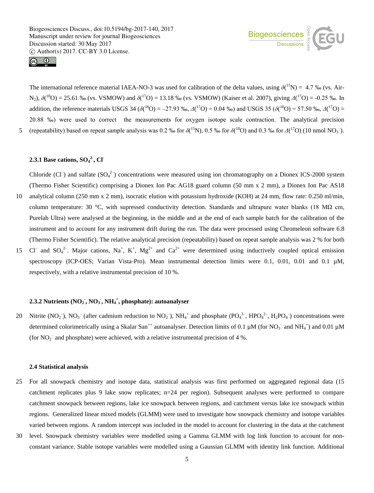



The international reference material IAEA-NO-3 was used for calibration of the delta values, using  $\delta(^{15}N) = 4.7$  % (vs. Air-N<sub>2</sub>),  $\delta$ <sup>(18</sup>O) = 25.61 ‰ (vs. VSMOW) and  $\delta$ <sup>(17</sup>O) = 13.18 ‰ (vs. VSMOW) (Kaiser et al. 2007), giving  $\Delta$ (<sup>17</sup>O) = -0.25 ‰. In addition, the reference materials USGS 34 ( $\delta(^{18}O) = -27.93$  ‰,  $\Delta(^{17}O) = 0.04$  ‰) and USGS 35 ( $\delta(^{18}O) = 57.50$  ‰,  $\Delta(^{17}O) =$ 20.88 ‰) were used to correct the measurements for oxygen isotope scale contraction. The analytical precision 5 (repeatability) based on repeat sample analysis was 0.2 ‰ for  $\delta(^{15}N)$ , 0.5 ‰ for  $\delta(^{18}O)$  and 0.3 ‰ for  $\Delta(^{17}O)$  (10 nmol NO<sub>3</sub>).

# **2.3.1 Base cations, SO<sup>4</sup> 2- , Cl-**

Chloride (CI<sup>-</sup>) and sulfate  $(SO_4^2$ <sup>-</sup>) concentrations were measured using ion chromatography on a Dionex ICS-2000 system (Thermo Fisher Scientific) comprising a Dionex Ion Pac AG18 guard column (50 mm x 2 mm), a Dionex Ion Pac AS18 10 analytical column (250 mm x 2 mm), isocratic elution with potassium hydroxide (KOH) at 24 mm, flow rate: 0.250 ml/min, column temperature: 30 °C, with supressed conductivity detection. Standards and ultrapure water blanks (18 M $\Omega$  cm, Purelab Ultra) were analysed at the beginning, in the middle and at the end of each sample batch for the calibration of the instrument and to account for any instrument drift during the run. The data were processed using Chromeleon software 6.8 (Thermo Fisher Scientific). The relative analytical precision (repeatability) based on repeat sample analysis was 2 % for both 15 Cl<sup>-</sup> and SO<sub>4</sub><sup>2</sup>. Major cations, Na<sup>+</sup>, K<sup>+</sup>, Mg<sup>2+</sup> and Ca<sup>2+</sup> were determined using inductively coupled optical emission

spectroscopy (ICP-OES; Varian Vista-Pro). Mean instrumental detection limits were 0.1, 0.01, 0.01 and 0.1  $\mu$ M, respectively, with a relative instrumental precision of 10 %.

# **2.3.2 Nutrients (NO<sup>2</sup> - , NO<sup>3</sup> - , NH<sup>4</sup> + , phosphate): autoanalyser**

20 Nitrite (NO<sub>2</sub><sup>-</sup>), NO<sub>3</sub><sup>-</sup> (after cadmium reduction to NO<sub>2</sub><sup>-</sup>), NH<sub>4</sub><sup>+</sup> and phosphate (PO<sub>4</sub><sup>3</sup>-, HPO<sub>4</sub><sup>2</sup>-, H<sub>2</sub>PO<sub>4</sub><sup>-</sup>) concentrations were determined colorimetrically using a Skalar San<sup>++</sup> autoanalyser. Detection limits of 0.1 µM (for NO<sub>3</sub><sup>-</sup> and NH<sub>4</sub><sup>+</sup>) and 0.01 µM (for  $NO_2^-$  and phosphate) were achieved, with a relative instrumental precision of 4 %.

# **2.4 Statistical analysis**

- 25 For all snowpack chemistry and isotope data, statistical analysis was first performed on aggregated regional data (15 catchment replicates plus 9 lake snow replicates; n=24 per region). Subsequent analyses were performed to compare catchment snowpack between regions, lake ice snowpack between regions, and catchment versus lake ice snowpack within regions. Generalized linear mixed models (GLMM) were used to investigate how snowpack chemistry and isotope variables varied between regions. A random intercept was included in the model to account for clustering in the data at the catchment
- 30 level. Snowpack chemistry variables were modelled using a Gamma GLMM with log link function to account for nonconstant variance. Stable isotope variables were modelled using a Gaussian GLMM with identity link function. Additional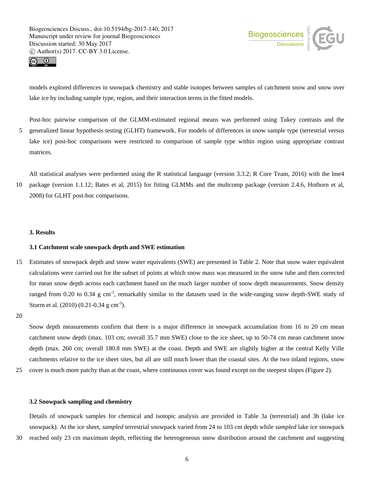



models explored differences in snowpack chemistry and stable isotopes between samples of catchment snow and snow over lake ice by including sample type, region, and their interaction terms in the fitted models.

Post-hoc pairwise comparison of the GLMM-estimated regional means was performed using Tukey contrasts and the 5 generalized linear hypothesis testing (GLHT) framework. For models of differences in snow sample type (terrestrial versus lake ice) post-hoc comparisons were restricted to comparison of sample type within region using appropriate contrast matrices.

All statistical analyses were performed using the R statistical language (version 3.3.2; R Core Team, 2016) with the lme4 10 package (version 1.1.12; Bates et al, 2015) for fitting GLMMs and the multcomp package (version 2.4.6, Hothorn et al, 2008) for GLHT post-hoc comparisons.

#### **3. Results**

# **3.1 Catchment scale snowpack depth and SWE estimation**

15 Estimates of snowpack depth and snow water equivalents (SWE) are presented in Table 2. Note that snow water equivalent calculations were carried out for the subset of points at which snow mass was measured in the snow tube and then corrected for mean snow depth across each catchment based on the much larger number of snow depth measurements. Snow density ranged from 0.20 to 0.34  $g \text{ cm}^{-3}$ , remarkably similar to the datasets used in the wide-ranging snow depth-SWE study of Sturm et al. (2010) (0.21-0.34 g cm<sup>-3</sup>).

#### 20

Snow depth measurements confirm that there is a major difference in snowpack accumulation from 16 to 20 cm mean catchment snow depth (max. 103 cm; overall 35.7 mm SWE) close to the ice sheet, up to 50-74 cm mean catchment snow depth (max. 260 cm; overall 180.8 mm SWE) at the coast. Depth and SWE are slightly higher at the central Kelly Ville catchments relative to the ice sheet sites, but all are still much lower than the coastal sites. At the two inland regions, snow

25 cover is much more patchy than at the coast, where continuous cover was found except on the steepest slopes (Figure 2).

#### **3.2 Snowpack sampling and chemistry**

Details of snowpack samples for chemical and isotopic analysis are provided in Table 3a (terrestrial) and 3b (lake ice snowpack). At the ice sheet, *sampled* terrestrial snowpack varied from 24 to 103 cm depth while *sampled* lake ice snowpack

30 reached only 23 cm maximum depth, reflecting the heterogeneous snow distribution around the catchment and suggesting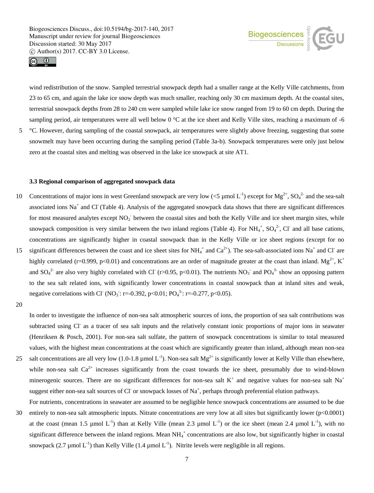



wind redistribution of the snow. Sampled terrestrial snowpack depth had a smaller range at the Kelly Ville catchments, from 23 to 65 cm, and again the lake ice snow depth was much smaller, reaching only 30 cm maximum depth. At the coastal sites, terrestrial snowpack depths from 28 to 240 cm were sampled while lake ice snow ranged from 19 to 60 cm depth. During the sampling period, air temperatures were all well below  $0^{\circ}$ C at the ice sheet and Kelly Ville sites, reaching a maximum of -6 5 °C. However, during sampling of the coastal snowpack, air temperatures were slightly above freezing, suggesting that some

snowmelt may have been occurring during the sampling period (Table 3a-b). Snowpack temperatures were only just below zero at the coastal sites and melting was observed in the lake ice snowpack at site AT1.

# **3.3 Regional comparison of aggregated snowpack data**

- 10 Concentrations of major ions in west Greenland snowpack are very low (<5  $\mu$ mol L<sup>-1</sup>) except for Mg<sup>2+</sup>, SO<sub>4</sub><sup>2-</sup> and the sea-salt associated ions Na<sup>+</sup> and Cl (Table 4). Analysis of the aggregated snowpack data shows that there are significant differences for most measured analytes except NO<sub>2</sub> between the coastal sites and both the Kelly Ville and ice sheet margin sites, while snowpack composition is very similar between the two inland regions (Table 4). For  $NH_4^+$ ,  $SO_4^2$ , Cl<sup>-</sup> and all base cations, concentrations are significantly higher in coastal snowpack than in the Kelly Ville or ice sheet regions (except for no 15 significant differences between the coast and ice sheet sites for  $NH_4^+$  and  $Ca^{2+}$ ). The sea-salt-associated ions Na<sup>+</sup> and Cl<sup>-</sup> are
- highly correlated (r=0.999, p<0.01) and concentrations are an order of magnitude greater at the coast than inland. Mg<sup>2+</sup>, K<sup>+</sup> and  $SO_4^2$  are also very highly correlated with Cl (r>0.95, p<0.01). The nutrients  $NO_3^-$  and  $PO_4^3$  show an opposing pattern to the sea salt related ions, with significantly lower concentrations in coastal snowpack than at inland sites and weak, negative correlations with Cl<sup>-</sup> (NO<sub>3</sub>: r=-0.392, p<0.01; PO<sub>4</sub><sup>3</sup>: r=-0.277, p<0.05).
- 20

In order to investigate the influence of non-sea salt atmospheric sources of ions, the proportion of sea salt contributions was subtracted using Cl<sup>-</sup> as a tracer of sea salt inputs and the relatively constant ionic proportions of major ions in seawater (Henriksen & Posch, 2001). For non-sea salt sulfate, the pattern of snowpack concentrations is similar to total measured values, with the highest mean concentrations at the coast which are significantly greater than inland, although mean non-sea

- 25 salt concentrations are all very low (1.0-1.8 µmol  $L^{-1}$ ). Non-sea salt Mg<sup>2+</sup> is significantly lower at Kelly Ville than elsewhere, while non-sea salt  $Ca^{2+}$  increases significantly from the coast towards the ice sheet, presumably due to wind-blown minerogenic sources. There are no significant differences for non-sea salt  $K^+$  and negative values for non-sea salt Na<sup>+</sup> suggest either non-sea salt sources of Cl or snowpack losses of Na<sup>+</sup>, perhaps through preferential elution pathways.
- For nutrients, concentrations in seawater are assumed to be negligible hence snowpack concentrations are assumed to be due 30 entirely to non-sea salt atmospheric inputs. Nitrate concentrations are very low at all sites but significantly lower (p<0.0001) at the coast (mean 1.5 µmol  $L^{-1}$ ) than at Kelly Ville (mean 2.3 µmol  $L^{-1}$ ) or the ice sheet (mean 2.4 µmol  $L^{-1}$ ), with no significant difference between the inland regions. Mean  $NH_4^+$  concentrations are also low, but significantly higher in coastal snowpack (2.7 µmol  $L^{-1}$ ) than Kelly Ville (1.4 µmol  $L^{-1}$ ). Nitrite levels were negligible in all regions.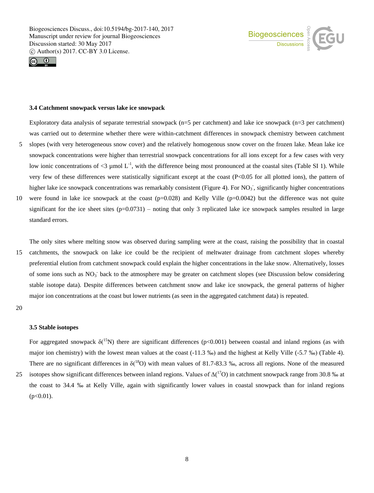



#### **3.4 Catchment snowpack versus lake ice snowpack**

Exploratory data analysis of separate terrestrial snowpack (n=5 per catchment) and lake ice snowpack (n=3 per catchment) was carried out to determine whether there were within-catchment differences in snowpack chemistry between catchment 5 slopes (with very heterogeneous snow cover) and the relatively homogenous snow cover on the frozen lake. Mean lake ice snowpack concentrations were higher than terrestrial snowpack concentrations for all ions except for a few cases with very low ionic concentrations of  $\lt3$  µmol L<sup>-1</sup>, with the difference being most pronounced at the coastal sites (Table SI 1). While very few of these differences were statistically significant except at the coast (P<0.05 for all plotted ions), the pattern of higher lake ice snowpack concentrations was remarkably consistent (Figure 4). For  $NO_3$ , significantly higher concentrations 10 were found in lake ice snowpack at the coast  $(p=0.028)$  and Kelly Ville  $(p=0.0042)$  but the difference was not quite

significant for the ice sheet sites  $(p=0.0731)$  – noting that only 3 replicated lake ice snowpack samples resulted in large standard errors.

The only sites where melting snow was observed during sampling were at the coast, raising the possibility that in coastal 15 catchments, the snowpack on lake ice could be the recipient of meltwater drainage from catchment slopes whereby preferential elution from catchment snowpack could explain the higher concentrations in the lake snow. Alternatively, losses of some ions such as NO<sub>3</sub> back to the atmosphere may be greater on catchment slopes (see Discussion below considering stable isotope data). Despite differences between catchment snow and lake ice snowpack, the general patterns of higher major ion concentrations at the coast but lower nutrients (as seen in the aggregated catchment data) is repeated.

20

#### **3.5 Stable isotopes**

For aggregated snowpack  $\delta^{(15)}$ N) there are significant differences (p<0.001) between coastal and inland regions (as with major ion chemistry) with the lowest mean values at the coast (-11.3 ‰) and the highest at Kelly Ville (-5.7 ‰) (Table 4). There are no significant differences in  $\delta^{(18)}$ O) with mean values of 81.7-83.3 ‰, across all regions. None of the measured

25 isotopes show significant differences between inland regions. Values of  $\Delta(^{17}O)$  in catchment snowpack range from 30.8 ‰ at the coast to 34.4 ‰ at Kelly Ville, again with significantly lower values in coastal snowpack than for inland regions  $(p<0.01)$ .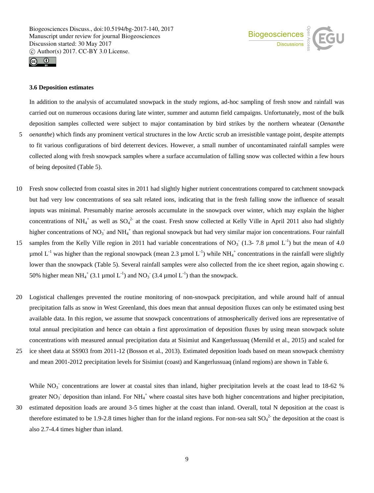



# **3.6 Deposition estimates**

In addition to the analysis of accumulated snowpack in the study regions, ad-hoc sampling of fresh snow and rainfall was carried out on numerous occasions during late winter, summer and autumn field campaigns. Unfortunately, most of the bulk deposition samples collected were subject to major contamination by bird strikes by the northern wheatear (*Oenanthe*  5 *oenanthe*) which finds any prominent vertical structures in the low Arctic scrub an irresistible vantage point, despite attempts to fit various configurations of bird deterrent devices. However, a small number of uncontaminated rainfall samples were

- collected along with fresh snowpack samples where a surface accumulation of falling snow was collected within a few hours of being deposited (Table 5).
- 10 Fresh snow collected from coastal sites in 2011 had slightly higher nutrient concentrations compared to catchment snowpack but had very low concentrations of sea salt related ions, indicating that in the fresh falling snow the influence of seasalt inputs was minimal. Presumably marine aerosols accumulate in the snowpack over winter, which may explain the higher concentrations of NH<sub>4</sub><sup>+</sup> as well as  $SO_4^{2}$  at the coast. Fresh snow collected at Kelly Ville in April 2011 also had slightly higher concentrations of  $NO_3^-$  and  $NH_4^+$  than regional snowpack but had very similar major ion concentrations. Four rainfall
- 15 samples from the Kelly Ville region in 2011 had variable concentrations of  $NO_3^-$  (1.3-7.8 µmol L<sup>-1</sup>) but the mean of 4.0  $\mu$ mol L<sup>-1</sup> was higher than the regional snowpack (mean 2.3  $\mu$ mol L<sup>-1</sup>) while NH<sub>4</sub><sup>+</sup> concentrations in the rainfall were slightly lower than the snowpack (Table 5). Several rainfall samples were also collected from the ice sheet region, again showing c. 50% higher mean NH<sub>4</sub><sup>+</sup> (3.1 µmol L<sup>-1</sup>) and NO<sub>3</sub><sup>-</sup> (3.4 µmol L<sup>-1</sup>) than the snowpack.
- 20 Logistical challenges prevented the routine monitoring of non-snowpack precipitation, and while around half of annual precipitation falls as snow in West Greenland, this does mean that annual deposition fluxes can only be estimated using best available data. In this region, we assume that snowpack concentrations of atmospherically derived ions are representative of total annual precipitation and hence can obtain a first approximation of deposition fluxes by using mean snowpack solute concentrations with measured annual precipitation data at Sisimiut and Kangerlussuaq (Mernild et al., 2015) and scaled for
- 25 ice sheet data at SS903 from 2011-12 (Bosson et al., 2013). Estimated deposition loads based on mean snowpack chemistry and mean 2001-2012 precipitation levels for Sisimiut (coast) and Kangerlussuaq (inland regions) are shown in Table 6.

While  $NO<sub>3</sub>$  concentrations are lower at coastal sites than inland, higher precipitation levels at the coast lead to 18-62 % greater  $NO_3$ <sup>-</sup> deposition than inland. For  $NH_4^+$  where coastal sites have both higher concentrations and higher precipitation,

30 estimated deposition loads are around 3-5 times higher at the coast than inland. Overall, total N deposition at the coast is therefore estimated to be 1.9-2.8 times higher than for the inland regions. For non-sea salt  $SO_4^2$  the deposition at the coast is also 2.7-4.4 times higher than inland.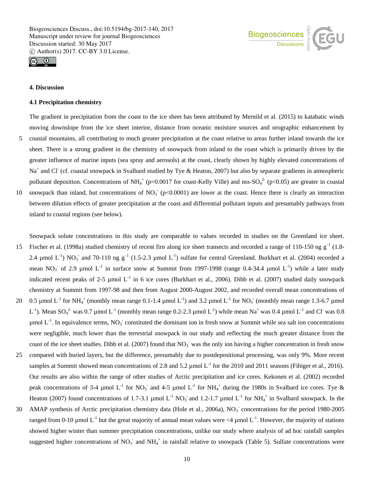



# **4. Discussion**

#### **4.1 Precipitation chemistry**

The gradient in precipitation from the coast to the ice sheet has been attributed by Mernild et al. (2015) to katabatic winds moving downslope from the ice sheet interior, distance from oceanic moisture sources and orographic enhancement by 5 coastal mountains, all contributing to much greater precipitation at the coast relative to areas further inland towards the ice sheet. There is a strong gradient in the chemistry of snowpack from inland to the coast which is primarily driven by the greater influence of marine inputs (sea spray and aerosols) at the coast, clearly shown by highly elevated concentrations of Na<sup>+</sup> and Cl<sup>-</sup> (cf. coastal snowpack in Svalbard studied by Tye & Heaton, 2007) but also by separate gradients in atmospheric pollutant deposition. Concentrations of NH<sub>4</sub><sup>+</sup> (p=0.0017 for coast-Kelly Ville) and nss-SO<sub>4</sub><sup>2</sup> (p<0.05) are greater in coastal 10 snowpack than inland, but concentrations of  $NO<sub>3</sub>$  (p<0.0001) are lower at the coast. Hence there is clearly an interaction between dilution effects of greater precipitation at the coast and differential pollutant inputs and presumably pathways from

inland to coastal regions (see below).

Snowpack solute concentrations in this study are comparable to values recorded in studies on the Greenland ice sheet.

- 15 Fischer et al. (1998a) studied chemistry of recent firn along ice sheet transects and recorded a range of 110-150 ng  $g^{-1}$  (1.8-2.4 µmol  $L^{-1}$ ) NO<sub>3</sub> and 70-110 ng g<sup>-1</sup> (1.5-2.3 µmol  $L^{-1}$ ) sulfate for central Greenland. Burkhart et al. (2004) recorded a mean NO<sub>3</sub> of 2.9 µmol L<sup>-1</sup> in surface snow at Summit from 1997-1998 (range 0.4-34.4 µmol L<sup>-1</sup>) while a later study indicated recent peaks of 2-5  $\mu$ mol L<sup>-1</sup> in 6 ice cores (Burkhart et al., 2006). Dibb et al. (2007) studied daily snowpack chemistry at Summit from 1997-98 and then from August 2000-August 2002, and recorded overall mean concentrations of
- 20 0.5 µmol L<sup>-1</sup> for NH<sub>4</sub><sup>+</sup> (monthly mean range 0.1-1.4 µmol L<sup>-1</sup>) and 3.2 µmol L<sup>-1</sup> for NO<sub>3</sub><sup>-</sup> (monthly mean range 1.3-6.7 µmol L<sup>-1</sup>). Mean SO<sub>4</sub><sup>2-</sup> was 0.7 µmol L<sup>-1</sup> (monthly mean range 0.2-2.3 µmol L<sup>-1</sup>) while mean Na<sup>+</sup> was 0.4 µmol L<sup>-1</sup> and Cl<sup>-</sup> was 0.8  $\mu$ mol L<sup>-1</sup>. In equivalence terms, NO<sub>3</sub> constituted the dominant ion in fresh snow at Summit while sea salt ion concentrations were negligible, much lower than the terrestrial snowpack in our study and reflecting the much greater distance from the coast of the ice sheet studies. Dibb et al. (2007) found that  $NO<sub>3</sub>$  was the only ion having a higher concentration in fresh snow
- 25 compared with buried layers, but the difference, presumably due to postdepositional processing, was only 9%. More recent samples at Summit showed mean concentrations of 2.8 and 5.2  $\mu$ mol L<sup>-1</sup> for the 2010 and 2011 seasons (Fibiger et al., 2016). Our results are also within the range of other studies of Arctic precipitation and ice cores. Kekonen et al. (2002) recorded peak concentrations of 3-4 µmol L<sup>-1</sup> for NO<sub>3</sub><sup>-</sup> and 4-5 µmol L<sup>-1</sup> for NH<sub>4</sub><sup>+</sup> during the 1980s in Svalbard ice cores. Tye & Heaton (2007) found concentrations of 1.7-3.1 µmol  $L^{-1}$  NO<sub>3</sub> and 1.2-1.7 µmol  $L^{-1}$  for NH<sub>4</sub><sup>+</sup> in Svalbard snowpack. In the
- 30 AMAP synthesis of Arctic precipitation chemistry data (Hole et al., 2006a), NO<sub>3</sub> concentrations for the period 1980-2005 ranged from 0-10 µmol L<sup>-1</sup> but the great majority of annual mean values were <4 µmol L<sup>-1</sup>. However, the majority of stations showed higher winter than summer precipitation concentrations, unlike our study where analysis of ad hoc rainfall samples suggested higher concentrations of  $NO_3^-$  and  $NH_4^+$  in rainfall relative to snowpack (Table 5). Sulfate concentrations were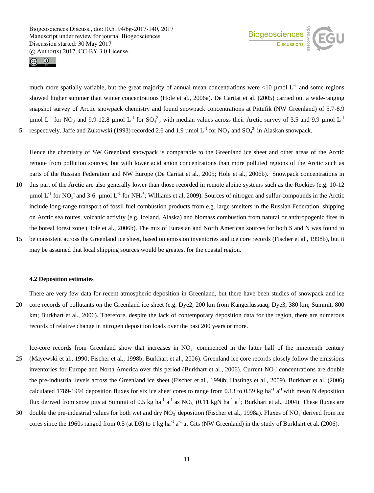



much more spatially variable, but the great majority of annual mean concentrations were  $\lt 10$  µmol  $L^{-1}$  and some regions showed higher summer than winter concentrations (Hole et al., 2006a). De Caritat et al. (2005) carried out a wide-ranging snapshot survey of Arctic snowpack chemistry and found snowpack concentrations at Pittufik (NW Greenland) of 5.7-8.9 µmol  $L^{-1}$  for NO<sub>3</sub> and 9.9-12.8 µmol  $L^{-1}$  for SO<sub>4</sub><sup>2</sup>, with median values across their Arctic survey of 3.5 and 9.9 µmol  $L^{-1}$ 5 respectively. Jaffe and Zukowski (1993) recorded 2.6 and 1.9  $\mu$ mol L<sup>-1</sup> for NO<sub>3</sub> and SO<sub>4</sub><sup>2-</sup> in Alaskan snowpack.

Hence the chemistry of SW Greenland snowpack is comparable to the Greenland ice sheet and other areas of the Arctic remote from pollution sources, but with lower acid anion concentrations than more polluted regions of the Arctic such as parts of the Russian Federation and NW Europe (De Caritat et al., 2005; Hole et al., 2006b). Snowpack concentrations in

- 10 this part of the Arctic are also generally lower than those recorded in remote alpine systems such as the Rockies (e.g. 10-12  $\mu$ mol L<sup>-1</sup> for NO<sub>3</sub><sup>-</sup> and 3-6  $\mu$ mol L<sup>-1</sup> for NH<sub>4</sub><sup>+</sup>; Williams et al, 2009). Sources of nitrogen and sulfur compounds in the Arctic include long-range transport of fossil fuel combustion products from e.g. large smelters in the Russian Federation, shipping on Arctic sea routes, volcanic activity (e.g. Iceland, Alaska) and biomass combustion from natural or anthropogenic fires in the boreal forest zone (Hole et al., 2006b). The mix of Eurasian and North American sources for both S and N was found to
- 15 be consistent across the Greenland ice sheet, based on emission inventories and ice core records (Fischer et al., 1998b), but it may be assumed that local shipping sources would be greatest for the coastal region.

#### **4.2 Deposition estimates**

There are very few data for recent atmospheric deposition in Greenland, but there have been studies of snowpack and ice 20 core records of pollutants on the Greenland ice sheet (e.g. Dye2, 200 km from Kangerlussuaq; Dye3, 380 km; Summit, 800 km; Burkhart et al., 2006). Therefore, despite the lack of contemporary deposition data for the region, there are numerous records of relative change in nitrogen deposition loads over the past 200 years or more.

- Ice-core records from Greenland show that increases in  $NO<sub>3</sub>$  commenced in the latter half of the nineteenth century 25 (Mayewski et al., 1990; Fischer et al., 1998b; Burkhart et al., 2006). Greenland ice core records closely follow the emissions inventories for Europe and North America over this period (Burkhart et al., 2006). Current NO<sub>3</sub> concentrations are double the pre-industrial levels across the Greenland ice sheet (Fischer et al., 1998b; Hastings et al., 2009). Burkhart et al. (2006) calculated 1789-1994 deposition fluxes for six ice sheet cores to range from 0.13 to 0.59 kg ha<sup>-1</sup> a<sup>-1</sup> with mean N deposition flux derived from snow pits at Summit of 0.5 kg ha<sup>-1</sup> a<sup>-1</sup> as  $NO_3^-$  (0.11 kgN ha<sup>-1</sup> a<sup>-1</sup>; Burkhart et al., 2004). These fluxes are
- 30 double the pre-industrial values for both wet and dry  $NO_3^-$  deposition (Fischer et al., 1998a). Fluxes of  $NO_3^-$  derived from ice cores since the 1960s ranged from 0.5 (at D3) to 1 kg ha<sup>-1</sup> a<sup>-1</sup> at Gits (NW Greenland) in the study of Burkhart et al. (2006).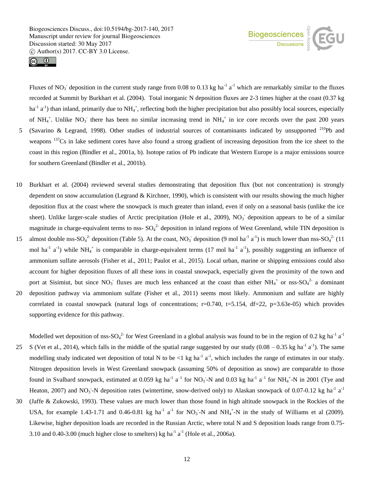for southern Greenland (Bindler et al., 2001b).





Fluxes of  $NO_3^-$  deposition in the current study range from 0.08 to 0.13 kg ha<sup>-1</sup> a<sup>-1</sup> which are remarkably similar to the fluxes recorded at Summit by Burkhart et al. (2004). Total inorganic N deposition fluxes are 2-3 times higher at the coast (0.37 kg ha<sup>-1</sup> a<sup>-1</sup>) than inland, primarily due to NH<sub>4</sub><sup>+</sup>, reflecting both the higher precipitation but also possibly local sources, especially of NH<sub>4</sub><sup>+</sup>. Unlike NO<sub>3</sub><sup>+</sup> there has been no similar increasing trend in NH<sub>4</sub><sup>+</sup> in ice core records over the past 200 years 5 (Savarino & Legrand, 1998). Other studies of industrial sources of contaminants indicated by unsupported  $^{210}Pb$  and weapons <sup>137</sup>Cs in lake sediment cores have also found a strong gradient of increasing deposition from the ice sheet to the coast in this region (Bindler et al., 2001a, b). Isotope ratios of Pb indicate that Western Europe is a major emissions source

- 10 Burkhart et al. (2004) reviewed several studies demonstrating that deposition flux (but not concentration) is strongly dependent on snow accumulation (Legrand & Kirchner, 1990), which is consistent with our results showing the much higher deposition flux at the coast where the snowpack is much greater than inland, even if only on a seasonal basis (unlike the ice sheet). Unlike larger-scale studies of Arctic precipitation (Hole et al., 2009), NO<sub>3</sub> deposition appears to be of a similar magnitude in charge-equivalent terms to nss- $SO_4^2$  deposition in inland regions of West Greenland, while TIN deposition is
- 15 almost double nss-SO<sub>4</sub><sup>2-</sup> deposition (Table 5). At the coast, NO<sub>3</sub><sup>-</sup> deposition (9 mol ha<sup>-1</sup> a<sup>-1</sup>) is much lower than nss-SO<sub>4</sub><sup>2-</sup> (11 mol ha<sup>-1</sup> a<sup>-1</sup>) while NH<sub>4</sub><sup>+</sup> is comparable in charge-equivalent terms (17 mol ha<sup>-1</sup> a<sup>-1</sup>), possibly suggesting an influence of ammonium sulfate aerosols (Fisher et al., 2011; Paulot et al., 2015). Local urban, marine or shipping emissions could also account for higher deposition fluxes of all these ions in coastal snowpack, especially given the proximity of the town and port at Sisimiut, but since  $NO_3$  fluxes are much less enhanced at the coast than either  $NH_4^+$  or nss- $SO_4^2$  a dominant 20 deposition pathway via ammonium sulfate (Fisher et al., 2011) seems most likely. Ammonium and sulfate are highly
- correlated in coastal snowpack (natural logs of concentrations;  $r=0.740$ ,  $t=5.154$ ,  $df=22$ ,  $p=3.63e-05$ ) which provides supporting evidence for this pathway.

Modelled wet deposition of nss-SO<sub>4</sub><sup>2</sup> for West Greenland in a global analysis was found to be in the region of 0.2 kg ha<sup>-1</sup> a<sup>-1</sup> 25 S (Vet et al., 2014), which falls in the middle of the spatial range suggested by our study  $(0.08 - 0.35 \text{ kg ha}^{-1} \text{a}^{-1})$ . The same

- modelling study indicated wet deposition of total N to be <1 kg ha<sup>-1</sup> a<sup>-1</sup>, which includes the range of estimates in our study. Nitrogen deposition levels in West Greenland snowpack (assuming 50% of deposition as snow) are comparable to those found in Svalbard snowpack, estimated at 0.059 kg ha<sup>-1</sup> a<sup>-1</sup> for NO<sub>3</sub>-N and 0.03 kg ha<sup>-1</sup> a<sup>-1</sup> for NH<sub>4</sub><sup>+</sup>-N in 2001 (Tye and Heaton, 2007) and NO<sub>3</sub>-N deposition rates (wintertime, snow-derived only) to Alaskan snowpack of 0.07-0.12 kg ha<sup>-1</sup> a<sup>-1</sup>
- 30 (Jaffe & Zukowski, 1993). These values are much lower than those found in high altitude snowpack in the Rockies of the USA, for example 1.43-1.71 and 0.46-0.81 kg ha<sup>-1</sup> a<sup>-1</sup> for NO<sub>3</sub>-N and NH<sub>4</sub><sup>+</sup>-N in the study of Williams et al (2009). Likewise, higher deposition loads are recorded in the Russian Arctic, where total N and S deposition loads range from 0.75- 3.10 and 0.40-3.00 (much higher close to smelters) kg ha<sup>-1</sup>  $a^{-1}$  (Hole et al., 2006a).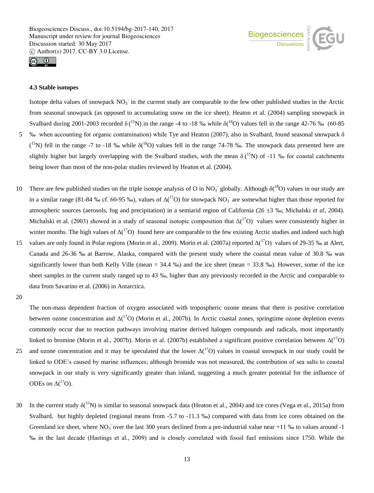being lower than most of the non-polar studies reviewed by Heaton et al. (2004).





# **4.3 Stable isotopes**

Isotope delta values of snowpack  $NO_3$  in the current study are comparable to the few other published studies in the Arctic from seasonal snowpack (as opposed to accumulating snow on the ice sheet). Heaton et al. (2004) sampling snowpack in Svalbard during 2001-2003 recorded  $\delta(^{15}N)$  in the range -4 to -18 ‰ while  $\delta(^{18}O)$  values fell in the range 42-76 ‰ (60-85 5 ‰ when accounting for organic contamination) while Tye and Heaton (2007), also in Svalbard, found seasonal snowpack  $δ$  $(15N)$  fell in the range -7 to -18 ‰ while  $\delta(^{18}O)$  values fell in the range 74-78 ‰. The snowpack data presented here are slightly higher but largely overlapping with the Svalbard studies, with the mean  $\delta(^{15}N)$  of -11 ‰ for coastal catchments

- 10 There are few published studies on the triple isotope analysis of O in NO<sub>3</sub> globally. Although  $\delta(^{18}O)$  values in our study are in a similar range (81-84 ‰ cf. 60-95 ‰), values of  $\Delta(^{17}O)$  for snowpack NO<sub>3</sub><sup>-</sup> are somewhat higher than those reported for atmospheric sources (aerosols, fog and precipitation) in a semiarid region of California (26 ±3 ‰; Michalski *et al*, 2004). Michalski et al. (2003) showed in a study of seasonal isotopic composition that  $\Delta(^{17}O)$  values were consistently higher in winter months. The high values of  $\Delta(^{17}O)$  found here are comparable to the few existing Arctic studies and indeed such high
- 15 values are only found in Polar regions (Morin et al., 2009). Morin et al. (2007a) reported  $\Delta(^{17}O)$  values of 29-35 ‰ at Alert, Canada and 26-36 ‰ at Barrow, Alaska, compared with the present study where the coastal mean value of 30.8 ‰ was significantly lower than both Kelly Ville (mean  $= 34.4 \%$ ) and the ice sheet (mean  $= 33.8 \%$ ). However, some of the ice sheet samples in the current study ranged up to 43 ‰, higher than any previously recorded in the Arctic and comparable to data from Savarino et al. (2006) in Antarctica.
- 20

The non-mass dependent fraction of oxygen associated with tropospheric ozone means that there is positive correlation between ozone concentration and  $\Delta(^{17}O)$  (Morin et al., 2007b). In Arctic coastal zones, springtime ozone depletion events commonly occur due to reaction pathways involving marine derived halogen compounds and radicals, most importantly linked to bromine (Morin et al., 2007b). Morin et al. (2007b) established a significant positive correlation between  $\Delta(^{17}O)$ 25 and ozone concentration and it may be speculated that the lower  $\Delta(^{17}O)$  values in coastal snowpack in our study could be linked to ODE's caused by marine influences; although bromide was not measured, the contribution of sea salts to coastal

- snowpack in our study is very significantly greater than inland, suggesting a much greater potential for the influence of ODEs on  $\Delta(^{17}O)$ .
- 30 In the current study  $\delta^{(15)}$ N) is similar to seasonal snowpack data (Heaton et al., 2004) and ice cores (Vega et al., 2015a) from Svalbard, but highly depleted (regional means from -5.7 to -11.3 ‰) compared with data from ice cores obtained on the Greenland ice sheet, where  $NO_3^-$  over the last 300 years declined from a pre-industrial value near +11 ‰ to values around -1 ‰ in the last decade (Hastings et al., 2009) and is closely correlated with fossil fuel emissions since 1750. While the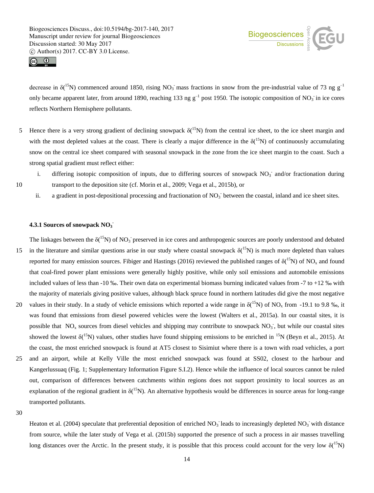



decrease in  $\delta(^{15}N)$  commenced around 1850, rising NO<sub>3</sub> mass fractions in snow from the pre-industrial value of 73 ng  $g^{-1}$ only became apparent later, from around 1890, reaching 133 ng  $g^{-1}$  post 1950. The isotopic composition of NO<sub>3</sub> in ice cores reflects Northern Hemisphere pollutants.

- 5 Hence there is a very strong gradient of declining snowpack  $\delta(^{15}N)$  from the central ice sheet, to the ice sheet margin and with the most depleted values at the coast. There is clearly a major difference in the  $\delta(^{15}N)$  of continuously accumulating snow on the central ice sheet compared with seasonal snowpack in the zone from the ice sheet margin to the coast. Such a strong spatial gradient must reflect either:
- 

i. differing isotopic composition of inputs, due to differing sources of snowpack NO<sub>3</sub> and/or fractionation during 10 transport to the deposition site (cf. Morin et al., 2009; Vega et al., 2015b), or

ii. a gradient in post-depositional processing and fractionation of  $NO<sub>3</sub>$  between the coastal, inland and ice sheet sites.

# **4.3.1 Sources of snowpack NO<sup>3</sup> -**

The linkages between the  $\delta(^{15}N)$  of NO<sub>3</sub> preserved in ice cores and anthropogenic sources are poorly understood and debated 15 in the literature and similar questions arise in our study where coastal snowpack  $\delta(^{15}N)$  is much more depleted than values reported for many emission sources. Fibiger and Hastings (2016) reviewed the published ranges of  $\delta(^{15}N)$  of NO<sub>x</sub> and found that coal-fired power plant emissions were generally highly positive, while only soil emissions and automobile emissions included values of less than -10 ‰. Their own data on experimental biomass burning indicated values from -7 to +12 ‰ with the majority of materials giving positive values, although black spruce found in northern latitudes did give the most negative

- 20 values in their study. In a study of vehicle emissions which reported a wide range in  $\delta(^{15}N)$  of NO<sub>x</sub> from -19.1 to 9.8 ‰, it was found that emissions from diesel powered vehicles were the lowest (Walters et al., 2015a). In our coastal sites, it is possible that  $NO_x$  sources from diesel vehicles and shipping may contribute to snowpack  $NO_3$ , but while our coastal sites showed the lowest  $\delta(^{15}N)$  values, other studies have found shipping emissions to be enriched in  $^{15}N$  (Beyn et al., 2015). At the coast, the most enriched snowpack is found at AT5 closest to Sisimiut where there is a town with road vehicles, a port
- 25 and an airport, while at Kelly Ville the most enriched snowpack was found at SS02, closest to the harbour and Kangerlussuaq (Fig. 1; Supplementary Information Figure S.I.2). Hence while the influence of local sources cannot be ruled out, comparison of differences between catchments within regions does not support proximity to local sources as an explanation of the regional gradient in  $\delta(^{15}N)$ . An alternative hypothesis would be differences in source areas for long-range transported pollutants.

30

Heaton et al. (2004) speculate that preferential deposition of enriched  $NO_3$  leads to increasingly depleted  $NO_3$  with distance from source, while the later study of Vega et al. (2015b) supported the presence of such a process in air masses travelling long distances over the Arctic. In the present study, it is possible that this process could account for the very low  $\delta(^{15}N)$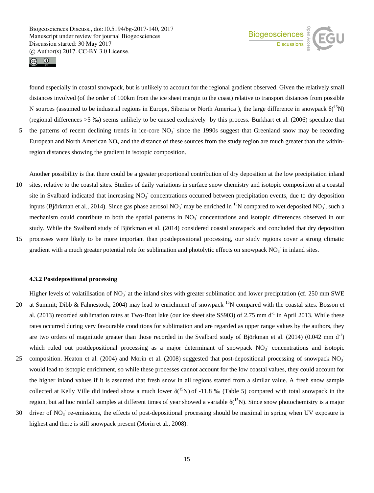



found especially in coastal snowpack, but is unlikely to account for the regional gradient observed. Given the relatively small distances involved (of the order of 100km from the ice sheet margin to the coast) relative to transport distances from possible N sources (assumed to be industrial regions in Europe, Siberia or North America), the large difference in snowpack  $\delta(^{15}N)$ (regional differences >5 ‰) seems unlikely to be caused exclusively by this process. Burkhart et al. (2006) speculate that 5 the patterns of recent declining trends in ice-core  $NO<sub>3</sub>$  since the 1990s suggest that Greenland snow may be recording

European and North American  $NO<sub>x</sub>$  and the distance of these sources from the study region are much greater than the withinregion distances showing the gradient in isotopic composition.

Another possibility is that there could be a greater proportional contribution of dry deposition at the low precipitation inland 10 sites, relative to the coastal sites. Studies of daily variations in surface snow chemistry and isotopic composition at a coastal site in Svalbard indicated that increasing  $NO<sub>3</sub>$  concentrations occurred between precipitation events, due to dry deposition inputs (Björkman et al., 2014). Since gas phase aerosol NO<sub>3</sub> may be enriched in <sup>15</sup>N compared to wet deposited NO<sub>3</sub>, such a mechanism could contribute to both the spatial patterns in NO<sub>3</sub> concentrations and isotopic differences observed in our study. While the Svalbard study of Björkman et al. (2014) considered coastal snowpack and concluded that dry deposition 15 processes were likely to be more important than postdepositional processing, our study regions cover a strong climatic

gradient with a much greater potential role for sublimation and photolytic effects on snowpack  $NO_3^-$  in inland sites.

#### **4.3.2 Postdepositional processing**

Higher levels of volatilisation of  $NO_3^-$  at the inland sites with greater sublimation and lower precipitation (cf. 250 mm SWE 20 at Summit; Dibb & Fahnestock, 2004) may lead to enrichment of snowpack  $^{15}N$  compared with the coastal sites. Bosson et al. (2013) recorded sublimation rates at Two-Boat lake (our ice sheet site SS903) of 2.75 mm  $d^{-1}$  in April 2013. While these rates occurred during very favourable conditions for sublimation and are regarded as upper range values by the authors, they are two orders of magnitude greater than those recorded in the Svalbard study of Björkman et al.  $(2014)$   $(0.042 \text{ mm d}^{-1})$ which ruled out postdepositional processing as a major determinant of snowpack  $NO<sub>3</sub>$  concentrations and isotopic

- composition. Heaton et al. (2004) and Morin et al. (2008) suggested that post-depositional processing of snowpack  $NO<sub>3</sub>$ 25 would lead to isotopic enrichment, so while these processes cannot account for the low coastal values, they could account for the higher inland values if it is assumed that fresh snow in all regions started from a similar value. A fresh snow sample collected at Kelly Ville did indeed show a much lower  $\delta(^{15}N)$  of -11.8 ‰ (Table 5) compared with total snowpack in the region, but ad hoc rainfall samples at different times of year showed a variable  $\delta(^{15}N)$ . Since snow photochemistry is a major
- $30$  driver of NO<sub>3</sub> re-emissions, the effects of post-depositional processing should be maximal in spring when UV exposure is highest and there is still snowpack present (Morin et al., 2008).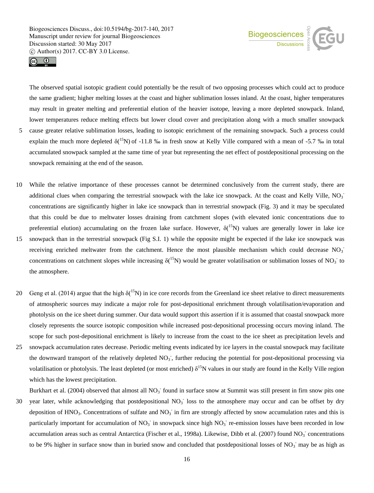



The observed spatial isotopic gradient could potentially be the result of two opposing processes which could act to produce the same gradient; higher melting losses at the coast and higher sublimation losses inland. At the coast, higher temperatures may result in greater melting and preferential elution of the heavier isotope, leaving a more depleted snowpack. Inland, lower temperatures reduce melting effects but lower cloud cover and precipitation along with a much smaller snowpack 5 cause greater relative sublimation losses, leading to isotopic enrichment of the remaining snowpack. Such a process could

- explain the much more depleted  $\delta(^{15}N)$  of -11.8 ‰ in fresh snow at Kelly Ville compared with a mean of -5.7 ‰ in total accumulated snowpack sampled at the same time of year but representing the net effect of postdepositional processing on the snowpack remaining at the end of the season.
- 10 While the relative importance of these processes cannot be determined conclusively from the current study, there are additional clues when comparing the terrestrial snowpack with the lake ice snowpack. At the coast and Kelly Ville,  $NO<sub>3</sub>$ concentrations are significantly higher in lake ice snowpack than in terrestrial snowpack (Fig. 3) and it may be speculated that this could be due to meltwater losses draining from catchment slopes (with elevated ionic concentrations due to preferential elution) accumulating on the frozen lake surface. However,  $\delta(^{15}N)$  values are generally lower in lake ice
- 15 snowpack than in the terrestrial snowpack (Fig S.I. 1) while the opposite might be expected if the lake ice snowpack was receiving enriched meltwater from the catchment. Hence the most plausible mechanism which could decrease  $NO<sub>3</sub>$ concentrations on catchment slopes while increasing  $\delta(^{15}N)$  would be greater volatilisation or sublimation losses of NO<sub>3</sub> to the atmosphere.
- 20 Geng et al. (2014) argue that the high  $\delta(^{15}N)$  in ice core records from the Greenland ice sheet relative to direct measurements of atmospheric sources may indicate a major role for post-depositional enrichment through volatilisation/evaporation and photolysis on the ice sheet during summer. Our data would support this assertion if it is assumed that coastal snowpack more closely represents the source isotopic composition while increased post-depositional processing occurs moving inland. The scope for such post-depositional enrichment is likely to increase from the coast to the ice sheet as precipitation levels and
- 25 snowpack accumulation rates decrease. Periodic melting events indicated by ice layers in the coastal snowpack may facilitate the downward transport of the relatively depleted  $NO<sub>3</sub>$ , further reducing the potential for post-depositional processing via volatilisation or photolysis. The least depleted (or most enriched)  $\delta^{15}N$  values in our study are found in the Kelly Ville region which has the lowest precipitation.

Burkhart et al. (2004) observed that almost all  $NO<sub>3</sub>$  found in surface snow at Summit was still present in firn snow pits one

30 year later, while acknowledging that postdepositional NO<sub>3</sub> loss to the atmosphere may occur and can be offset by dry deposition of HNO<sub>3</sub>. Concentrations of sulfate and  $NO<sub>3</sub>$  in firn are strongly affected by snow accumulation rates and this is particularly important for accumulation of NO<sub>3</sub> in snowpack since high NO<sub>3</sub> re-emission losses have been recorded in low accumulation areas such as central Antarctica (Fischer et al., 1998a). Likewise, Dibb et al. (2007) found  $NO_3^-$  concentrations to be 9% higher in surface snow than in buried snow and concluded that postdepositional losses of  $NO_3^-$  may be as high as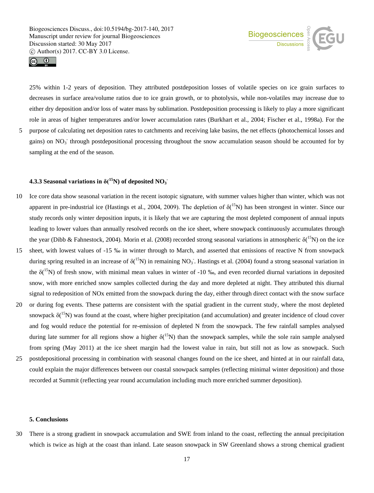



25% within 1-2 years of deposition. They attributed postdeposition losses of volatile species on ice grain surfaces to decreases in surface area/volume ratios due to ice grain growth, or to photolysis, while non-volatiles may increase due to either dry deposition and/or loss of water mass by sublimation. Postdeposition processing is likely to play a more significant role in areas of higher temperatures and/or lower accumulation rates (Burkhart et al., 2004; Fischer et al., 1998a). For the 5 purpose of calculating net deposition rates to catchments and receiving lake basins, the net effects (photochemical losses and

gains) on  $NO_3$  through postdepositional processing throughout the snow accumulation season should be accounted for by sampling at the end of the season.

# **4.3.3 Seasonal variations in δ(<sup>15</sup>N) of deposited NO<sup>3</sup> -**

- 10 Ice core data show seasonal variation in the recent isotopic signature, with summer values higher than winter, which was not apparent in pre-industrial ice (Hastings et al., 2004, 2009). The depletion of  $\delta(^{15}N)$  has been strongest in winter. Since our study records only winter deposition inputs, it is likely that we are capturing the most depleted component of annual inputs leading to lower values than annually resolved records on the ice sheet, where snowpack continuously accumulates through the year (Dibb & Fahnestock, 2004). Morin et al. (2008) recorded strong seasonal variations in atmospheric  $\delta(^{15}N)$  on the ice
- 15 sheet, with lowest values of -15 ‰ in winter through to March, and asserted that emissions of reactive N from snowpack during spring resulted in an increase of  $\delta(^{15}N)$  in remaining NO<sub>3</sub>. Hastings et al. (2004) found a strong seasonal variation in the  $\delta(^{15}N)$  of fresh snow, with minimal mean values in winter of -10 ‰, and even recorded diurnal variations in deposited snow, with more enriched snow samples collected during the day and more depleted at night. They attributed this diurnal signal to redeposition of NOx emitted from the snowpack during the day, either through direct contact with the snow surface
- 20 or during fog events. These patterns are consistent with the spatial gradient in the current study, where the most depleted snowpack  $\delta(^{15}N)$  was found at the coast, where higher precipitation (and accumulation) and greater incidence of cloud cover and fog would reduce the potential for re-emission of depleted N from the snowpack. The few rainfall samples analysed during late summer for all regions show a higher  $\delta(^{15}N)$  than the snowpack samples, while the sole rain sample analysed from spring (May 2011) at the ice sheet margin had the lowest value in rain, but still not as low as snowpack. Such
- 25 postdepositional processing in combination with seasonal changes found on the ice sheet, and hinted at in our rainfall data, could explain the major differences between our coastal snowpack samples (reflecting minimal winter deposition) and those recorded at Summit (reflecting year round accumulation including much more enriched summer deposition).

# **5. Conclusions**

30 There is a strong gradient in snowpack accumulation and SWE from inland to the coast, reflecting the annual precipitation which is twice as high at the coast than inland. Late season snowpack in SW Greenland shows a strong chemical gradient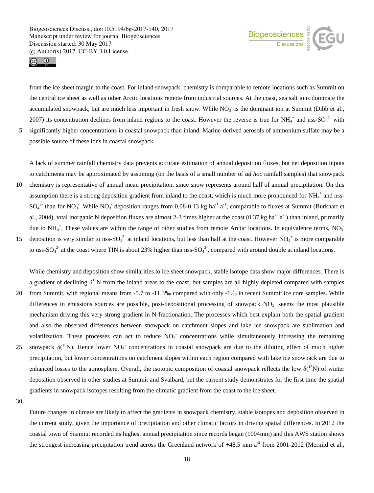



from the ice sheet margin to the coast. For inland snowpack, chemistry is comparable to remote locations such as Summit on the central ice sheet as well as other Arctic locations remote from industrial sources. At the coast, sea salt ions dominate the accumulated snowpack, but are much less important in fresh snow. While  $NO<sub>3</sub>$  is the dominant ion at Summit (Dibb et al., 2007) its concentration declines from inland regions to the coast. However the reverse is true for  $NH_4^+$  and nss- $SO_4^{2-}$  with 5 significantly higher concentrations in coastal snowpack than inland. Marine-derived aerosols of ammonium sulfate may be a

possible source of these ions in coastal snowpack.

A lack of summer rainfall chemistry data prevents accurate estimation of annual deposition fluxes, but net deposition inputs to catchments may be approximated by assuming (on the basis of a small number of *ad hoc* rainfall samples) that snowpack

- 10 chemistry is representative of annual mean precipitation, since snow represents around half of annual precipitation. On this assumption there is a strong deposition gradient from inland to the coast, which is much more pronounced for  $NH_4^+$  and nss- $SO_4^2$  than for NO<sub>3</sub>. While NO<sub>3</sub> deposition ranges from 0.08-0.13 kg ha<sup>-1</sup> a<sup>-1</sup>, comparable to fluxes at Summit (Burkhart et al., 2004), total inorganic N deposition fluxes are almost 2-3 times higher at the coast  $(0.37 \text{ kg ha}^{-1} \text{ a}^{-1})$  than inland, primarily due to  $NH_4^+$ . These values are within the range of other studies from remote Arctic locations. In equivalence terms,  $NO_3$
- 15 deposition is very similar to nss-SO<sub>4</sub><sup>2</sup> at inland locations, but less than half at the coast. However NH<sub>4</sub><sup>+</sup> is more comparable to nss-SO<sub>4</sub><sup>2</sup> at the coast where TIN is about 23% higher than nss-SO<sub>4</sub><sup>2</sup>, compared with around double at inland locations.

While chemistry and deposition show similarities to ice sheet snowpack, stable isotope data show major differences. There is a gradient of declining  $\delta^{15}N$  from the inland areas to the coast, but samples are all highly depleted compared with samples 20 from Summit, with regional means from -5.7 to -11.3‰ compared with only -1‰ in recent Summit ice core samples. While differences in emissions sources are possible, post-depositional processing of snowpack  $NO<sub>3</sub>$  seems the most plausible mechanism driving this very strong gradient in N fractionation. The processes which best explain both the spatial gradient and also the observed differences between snowpack on catchment slopes and lake ice snowpack are sublimation and volatilization. These processes can act to reduce  $NO<sub>3</sub>$  concentrations while simultaneously increasing the remaining 25 snowpack  $\delta(^{15}N)$ . Hence lower NO<sub>3</sub> concentrations in coastal snowpack are due to the diluting effect of much higher precipitation, but lower concentrations on catchment slopes within each region compared with lake ice snowpack are due to enhanced losses to the atmosphere. Overall, the isotopic composition of coastal snowpack reflects the low  $\delta(^{15}N)$  of winter deposition observed in other studies at Summit and Svalbard, but the current study demonstrates for the first time the spatial gradients in snowpack isotopes resulting from the climatic gradient from the coast to the ice sheet.

30

Future changes in climate are likely to affect the gradients in snowpack chemistry, stable isotopes and deposition observed in the current study, given the importance of precipitation and other climatic factors in driving spatial differences. In 2012 the coastal town of Sisimiut recorded its highest annual precipitation since records began (1004mm) and this AWS station shows the strongest increasing precipitation trend across the Greenland network of  $+48.5$  mm  $a<sup>-2</sup>$  from 2001-2012 (Mernild et al.,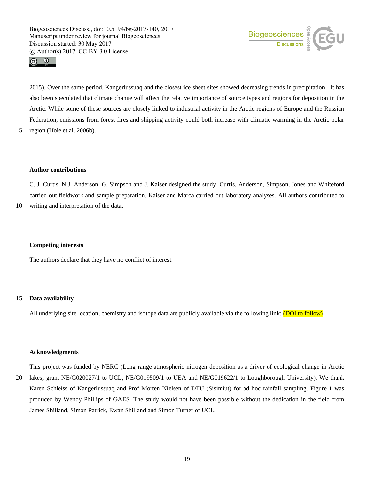



2015). Over the same period, Kangerlussuaq and the closest ice sheet sites showed decreasing trends in precipitation. It has also been speculated that climate change will affect the relative importance of source types and regions for deposition in the Arctic. While some of these sources are closely linked to industrial activity in the Arctic regions of Europe and the Russian Federation, emissions from forest fires and shipping activity could both increase with climatic warming in the Arctic polar

5 region (Hole et al.,2006b).

#### **Author contributions**

C. J. Curtis, N.J. Anderson, G. Simpson and J. Kaiser designed the study. Curtis, Anderson, Simpson, Jones and Whiteford carried out fieldwork and sample preparation. Kaiser and Marca carried out laboratory analyses. All authors contributed to 10 writing and interpretation of the data.

#### **Competing interests**

The authors declare that they have no conflict of interest.

## 15 **Data availability**

All underlying site location, chemistry and isotope data are publicly available via the following link: (DOI to follow)

# **Acknowledgments**

This project was funded by NERC (Long range atmospheric nitrogen deposition as a driver of ecological change in Arctic 20 lakes; grant NE/G020027/1 to UCL, NE/G019509/1 to UEA and NE/G019622/1 to Loughborough University). We thank Karen Schleiss of Kangerlussuaq and Prof Morten Nielsen of DTU (Sisimiut) for ad hoc rainfall sampling. Figure 1 was produced by Wendy Phillips of GAES. The study would not have been possible without the dedication in the field from James Shilland, Simon Patrick, Ewan Shilland and Simon Turner of UCL.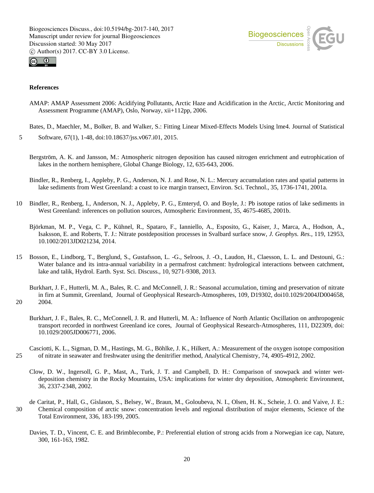



# **References**

AMAP: AMAP Assessment 2006: Acidifying Pollutants, Arctic Haze and Acidification in the Arctic, Arctic Monitoring and Assessment Programme (AMAP), Oslo, Norway, xii+112pp, 2006.

Bates, D., Maechler, M., Bolker, B. and Walker, S.: Fitting Linear Mixed-Effects Models Using lme4. Journal of Statistical

5 Software, 67(1), 1-48, doi:10.18637/jss.v067.i01, 2015.

- Bergström, A. K. and Jansson, M.: Atmospheric nitrogen deposition has caused nitrogen enrichment and eutrophication of lakes in the northern hemisphere, Global Change Biology, 12, 635-643, 2006.
- Bindler, R., Renberg, I., Appleby, P. G., Anderson, N. J. and Rose, N. L.: Mercury accumulation rates and spatial patterns in lake sediments from West Greenland: a coast to ice margin transect, Environ. Sci. Technol., 35, 1736-1741, 2001a.
- 10 Bindler, R., Renberg, I., Anderson, N. J., Appleby, P. G., Emteryd, O. and Boyle, J.: Pb isotope ratios of lake sediments in West Greenland: inferences on pollution sources, Atmospheric Environment, 35, 4675-4685, 2001b.
	- Björkman, M. P., Vega, C. P., Kühnel, R., Spataro, F., Ianniello, A., Esposito, G., Kaiser, J., Marca, A., Hodson, A., Isaksson, E. and Roberts, T. J.: Nitrate postdeposition processes in Svalbard surface snow, *J. Geophys. Res.,* 119, 12953, 10.1002/2013JD021234, 2014.
- 15 Bosson, E., Lindborg, T., Berglund, S., Gustafsson, L. -G., Selroos, J. -O., Laudon, H., Claesson, L. L. and Destouni, G.: Water balance and its intra-annual variability in a permafrost catchment: hydrological interactions between catchment, lake and talik, Hydrol. Earth. Syst. Sci. Discuss.*,* 10, 9271-9308, 2013.

- Burkhart, J. F., Bales, R. C., McConnell, J. R. and Hutterli, M. A.: Influence of North Atlantic Oscillation on anthropogenic transport recorded in northwest Greenland ice cores, Journal of Geophysical Research-Atmospheres, 111, D22309, doi: 10.1029/2005JD006771, 2006.
- Casciotti, K. L., Sigman, D. M., Hastings, M. G., Böhlke, J. K., Hilkert, A.: Measurement of the oxygen isotope composition 25 of nitrate in seawater and freshwater using the denitrifier method, Analytical Chemistry, 74, 4905-4912, 2002.
	- Clow, D. W., Ingersoll, G. P., Mast, A., Turk, J. T. and Campbell, D. H.: Comparison of snowpack and winter wetdeposition chemistry in the Rocky Mountains, USA: implications for winter dry deposition, Atmospheric Environment, 36, 2337-2348, 2002.
- de Caritat, P., Hall, G., Gìslason, S., Belsey, W., Braun, M., Goloubeva, N. I., Olsen, H. K., Scheie, J. O. and Vaive, J. E.: 30 Chemical composition of arctic snow: concentration levels and regional distribution of major elements, Science of the Total Environment, 336, 183-199, 2005.
	- Davies, T. D., Vincent, C. E. and Brimblecombe, P.: Preferential elution of strong acids from a Norwegian ice cap, Nature, 300, 161-163, 1982.

Burkhart, J. F., Hutterli, M. A., Bales, R. C. and McConnell, J. R.: Seasonal accumulation, timing and preservation of nitrate in firn at Summit, Greenland, Journal of Geophysical Research-Atmospheres, 109, D19302, doi10.1029/2004JD004658, 20 2004.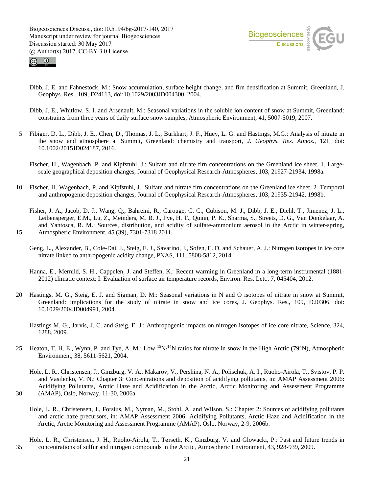



- Dibb, J. E. and Fahnestock, M.: Snow accumulation, surface height change, and firn densification at Summit, Greenland, J. Geophys. Res,*.* 109, D24113, doi:10.1029/2003JD004300, 2004.
- Dibb, J. E., Whitlow, S. I. and Arsenault, M.: Seasonal variations in the soluble ion content of snow at Summit, Greenland: constraints from three years of daily surface snow samples, Atmospheric Environment, 41, 5007-5019, 2007.
- 5 Fibiger, D. L., Dibb, J. E., Chen, D., Thomas, J. L., Burkhart, J. F., Huey, L. G. and Hastings, M.G.: Analysis of nitrate in the snow and atmosphere at Summit, Greenland: chemistry and transport, *J. Geophys. Res. Atmos.*, 121, doi: 10.1002/2015JD024187, 2016.
	- Fischer, H., Wagenbach, P. and Kipfstuhl, J.: Sulfate and nitrate firn concentrations on the Greenland ice sheet. 1. Largescale geographical deposition changes, Journal of Geophysical Research-Atmospheres, 103, 21927-21934, 1998a.
- 10 Fischer, H. Wagenbach, P. and Kipfstuhl, J.: Sulfate and nitrate firn concentrations on the Greenland ice sheet. 2. Temporal and anthropogenic deposition changes, Journal of Geophysical Research-Atmospheres, 103, 21935-21942, 1998b.
- Fisher, J. A., Jacob, D. J., Wang, Q., Bahreini, R., Carouge, C. C., Cubison, M. J., Dibb, J. E., Diehl, T., Jimenez, J. L., Leibensperger, E.M., Lu, Z., Meinders, M. B. J., Pye, H. T., Quinn, P. K., Sharma, S., Streets, D. G., Van Donkelaar, A. and Yantosca, R. M.: Sources, distribution, and acidity of sulfate-ammonium aerosol in the Arctic in winter-spring, 15 Atmospheric Environment, 45 (39), 7301-7318 2011.
	- Geng, L., Alexander, B., Cole-Dai, J., Steig, E. J., Savarino, J., Sofen, E. D. and Schauer, A. J.: Nitrogen isotopes in ice core nitrate linked to anthropogenic acidity change, PNAS*,* 111, 5808-5812, 2014.

Hanna, E., Mernild, S. H., Cappelen, J. and Steffen, K.: Recent warming in Greenland in a long-term instrumental (1881- 2012) climatic context: I. Evaluation of surface air temperature records, Environ. Res. Lett., 7, 045404, 2012.

- 20 Hastings, M. G., Steig, E. J. and Sigman, D. M.: Seasonal variations in N and O isotopes of nitrate in snow at Summit, Greenland: implications for the study of nitrate in snow and ice cores, J. Geophys. Res., 109, D20306, doi: 10.1029/2004JD004991, 2004.
	- Hastings M. G., Jarvis, J. C. and Steig, E. J.: Anthropogenic impacts on nitrogen isotopes of ice core nitrate, Science, 324, 1288, 2009.
- 25 Heaton, T. H. E., Wynn, P. and Tye, A. M.: Low  ${}^{15}N/{}^{4}N$  ratios for nitrate in snow in the High Arctic (79°N), Atmospheric Environment, 38, 5611-5621, 2004.
- Hole, L. R., Christensen, J., Ginzburg, V. A., Makarov, V., Pershina, N. A., Polischuk, A. I., Ruoho-Airola, T., Svistov, P. P. and Vasilenko, V. N.: Chapter 3: Concentrations and deposition of acidifying pollutants, in: AMAP Assessment 2006: Acidifying Pollutants, Arctic Haze and Acidification in the Arctic, Arctic Monitoring and Assessment Programme 30 (AMAP), Oslo, Norway, 11-30, 2006a.
	- Hole, L. R., Christensen, J., Forsius, M., Nyman, M., Stohl, A. and Wilson, S.: Chapter 2: Sources of acidifying pollutants and arctic haze precursors, in: AMAP Assessment 2006: Acidifying Pollutants, Arctic Haze and Acidification in the Arctic, Arctic Monitoring and Assessment Programme (AMAP), Oslo, Norway, 2-9, 2006b.

Hole, L. R., Christensen, J. H., Ruoho-Airola, T., Tørseth, K., Ginzburg, V. and Glowacki, P.: Past and future trends in 35 concentrations of sulfur and nitrogen compounds in the Arctic*,* Atmospheric Environment, 43, 928-939, 2009.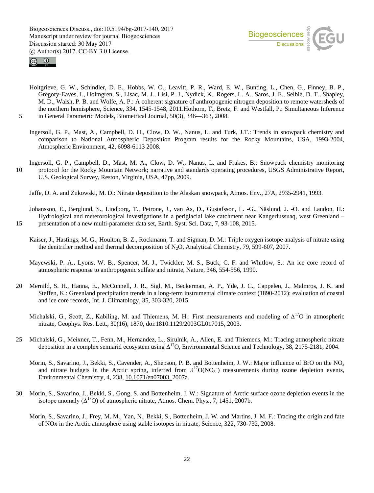



- Holtgrieve, G. W., Schindler, D. E., Hobbs, W. O., Leavitt, P. R., Ward, E. W., Bunting, L., Chen, G., Finney, B. P., Gregory-Eaves, I., Holmgren, S., Lisac, M. J., Lisi, P. J., Nydick, K., Rogers, L. A., Saros, J. E., Selbie, D. T., Shapley, M. D., Walsh, P. B. and Wolfe, A. P.: A coherent signature of anthropogenic nitrogen deposition to remote watersheds of the northern hemisphere, Science, 334, 1545-1548, 2011.Hothorn, T., Bretz, F. and Westfall, P.: Simultaneous Inference 5 in General Parametric Models, Biometrical Journal, 50(3), 346—363, 2008.
	- Ingersoll, G. P., Mast, A., Campbell, D. H., Clow, D. W., Nanus, L. and Turk, J.T.: Trends in snowpack chemistry and comparison to National Atmospheric Deposition Program results for the Rocky Mountains, USA, 1993-2004, Atmospheric Environment, 42, 6098-6113 2008.
- Ingersoll, G. P., Campbell, D., Mast, M. A., Clow, D. W., Nanus, L. and Frakes, B.: Snowpack chemistry monitoring 10 protocol for the Rocky Mountain Network; narrative and standards operating procedures, USGS Administrative Report, U.S. Geological Survey, Reston, Virginia, USA, 47pp, 2009.

Jaffe, D. A. and Zukowski, M. D.: Nitrate deposition to the Alaskan snowpack, Atmos. Env., 27A, 2935-2941, 1993.

Johansson, E., Berglund, S., Lindborg, T., Petrone, J., van As, D., Gustafsson, L. -G., Näslund, J. -O. and Laudon, H.: Hydrological and meterorological investigations in a periglacial lake catchment near Kangerlussuaq, west Greenland – 15 presentation of a new multi-parameter data set, Earth. Syst. Sci. Data, 7, 93-108, 2015.

Mayewski, P. A., Lyons, W. B., Spencer, M. J., Twickler, M. S., Buck, C. F. and Whitlow, S.: An ice core record of atmospheric response to anthropogenic sulfate and nitrate, Nature, 346, 554-556, 1990.

20 Mernild, S. H., Hanna, E., McConnell, J. R., Sigl, M., Beckerman, A. P., Yde, J. C., Cappelen, J., Malmros, J. K. and Steffen, K.: Greenland precipitation trends in a long-term instrumental climate context (1890-2012): evaluation of coastal and ice core records, Int. J. Climatology, 35, 303-320, 2015.

Michalski, G., Scott, Z., Kabiling, M. and Thiemens, M. H.: First measurements and modeling of  $\Delta^{17}O$  in atmospheric nitrate, Geophys. Res. Lett., 30(16), 1870, doi:1810.1129/2003GL017015, 2003.

- 25 Michalski, G., Meixner, T., Fenn, M., Hernandez, L., Sirulnik, A., Allen, E. and Thiemens, M.: Tracing atmospheric nitrate deposition in a complex semiarid ecosystem using  $\Delta^{17}O$ , Environmental Science and Technology, 38, 2175-2181, 2004.
	- Morin, S., Savarino, J., Bekki, S., Cavender, A., Shepson, P. B. and Bottenheim, J. W.: Major influence of BrO on the NO*<sup>x</sup>* and nitrate budgets in the Arctic spring, inferred from  $\Delta^{17}O(NO_3^-)$  measurements during ozone depletion events, Environmental Chemistry, 4, 238, 10.1071/en07003, 2007a.
- 30 Morin, S., Savarino, J., Bekki, S., Gong, S. and Bottenheim, J. W.: Signature of Arctic surface ozone depletion events in the isotope anomaly  $(\Delta^{17}O)$  of atmospheric nitrate, Atmos. Chem. Phys., 7, 1451, 2007b.
	- Morin, S., Savarino, J., Frey, M. M., Yan, N., Bekki, S., Bottenheim, J. W. and Martins, J. M. F.: Tracing the origin and fate of NOx in the Arctic atmosphere using stable isotopes in nitrate, Science, 322, 730-732, 2008.

Kaiser, J., Hastings, M. G., Houlton, B. Z., Rockmann, T. and Sigman, D. M.: Triple oxygen isotope analysis of nitrate using the denitrifier method and thermal decomposition of  $N_2O$ , Analytical Chemistry, 79, 599-607, 2007.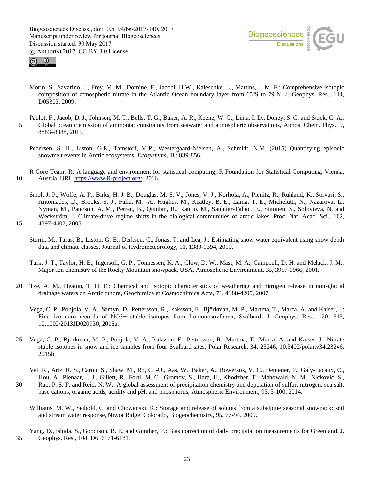



- Morin, S., Savarino, J., Frey, M. M., Domine, F., Jacobi, H.W., Kaleschke, L., Martins, J. M. F.: Comprehensive isotopic composition of atmospheric nitrate in the Atlantic Ocean boundary layer from 65ºS to 79ºN, J. Geophys. Res*.,* 114, D05303, 2009.
- Paulot, F., Jacob, D. J., Johnson, M. T., Bells, T. G., Baker, A. R., Keene, W. C., Lima, I. D., Doney, S. C. and Stock, C. A.: 5 Global oceanic emission of ammonia: constraints from seawater and atmospheric observations, Atmos. Chem. Phys., 9, 8883–8888, 2015.
	- Pedersen, S. H., Liston, G.E., Tamstorf, M.P., Westergaard-Nielsen, A., Schmidt, N.M. (2015) Quantifying episodic snowmelt events in Arctic ecosystems. *Ecosystems*, 18: 839-856.
- R Core Team: R: A language and environment for statistical computing, R Foundation for Statistical Computing, Vienna, 10 Austria, URL https://www.R-project.org/, 2016.
- Smol, J. P., Wolfe, A. P., Birks, H. J. B., Douglas, M. S. V., Jones, V. J., Korhola, A., Pienitz, R., Rühland, K., Sorvari, S., Antoniades, D., Brooks, S. J., Fallu, M. -A., Hughes, M., Keatley, B. E., Laing, T. E., Michelutti, N., Nazarova, L., Nyman, M., Paterson, A. M., Perren, B., Quinlan, R., Rautio, M., Saulnier-Talbot, E., Siitonen, S., Solovieva, N. and Weckström, J. Climate-drive regime shifts in the biological communities of arctic lakes, Proc. Nat. Acad. Sci., 102, 15 4397-4402, 2005.

- Turk, J. T., Taylor, H. E., Ingersoll, G. P., Tonnessen, K. A., Clow, D. W., Mast, M. A., Campbell, D. H. and Melack, J. M.: Major-ion chemistry of the Rocky Mountain snowpack, USA, Atmospheric Environment, 35, 3957-3966, 2001.
- 20 Tye, A. M., Heaton, T. H. E.: Chemical and isotopic characteristics of weathering and nitrogen release in non-glacial drainage waters on Arctic tundra, Geochimica et Cosmochimica Acta, 71, 4188-4205, 2007.
	- Vega, C. P., Pohjola, V. A., Samyn, D., Pettersson, R., Isaksson, E., Björkman, M. P., Martma, T., Marca, A. and Kaiser, J.: First ice core records of NO3− stable isotopes from Lomonosovfonna, Svalbard, J. Geophys. Res., 120, 313, 10.1002/2013JD020930, 2015a.
- 25 Vega, C. P., Björkman, M. P., Pohjola, V. A., Isaksson, E., Pettersson, R., Martma, T., Marca, A. and Kaiser, J.: Nitrate stable isotopes in snow and ice samples from four Svalbard sites, Polar Research, 34, 23246, 10.3402/polar.v34.23246, 2015b.
- Vet, R., Artz, R. S., Carou, S., Shaw, M., Ro, C. -U., Aas, W., Baker, A., Bowersox, V. C., Dentener, F., Galy-Lacaux, C., Hou, A., Pienaar, J. J., Gillett, R., Forti, M. C., Gromov, S., Hara, H., Khodzher, T., Mahowald, N. M., Nickovic, S., 30 Rao, P. S. P. and Reid, N. W.: A global assessment of precipitation chemistry and deposition of sulfur, nitrogen, sea salt, base cations, organic acids, acidity and pH, and phosphorus, Atmospheric Environment, 93, 3-100, 2014.
	- Williams, M. W., Seibold, C. and Chowanski, K.: Storage and release of solutes from a subalpine seasonal snowpack: soil and stream water response, Niwot Ridge, Colorado, Biogeochemistry*,* 95, 77-94, 2009.
- Yang, D., Ishida, S., Goodison, B. E. and Gunther, T.: Bias correction of daily precipitation measurements for Greenland, J. 35 Geophys. Res., 104, D6, 6171-6181.

Sturm, M., Taras, B., Liston, G. E., Derksen, C., Jonas, T. and Lea, J.: Estimating snow water equivalent using snow depth data and climate classes, Journal of Hydrometeorology, 11, 1380-1394, 2010.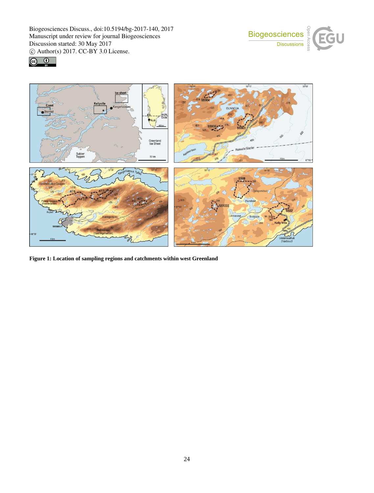





**Figure 1: Location of sampling regions and catchments within west Greenland**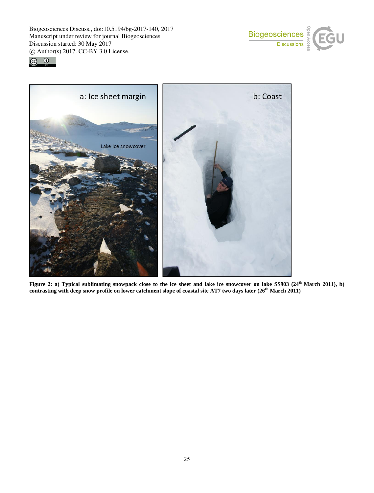





**Figure 2: a) Typical sublimating snowpack close to the ice sheet and lake ice snowcover on lake SS903 (24th March 2011), b) contrasting with deep snow profile on lower catchment slope of coastal site AT7 two days later (26th March 2011)**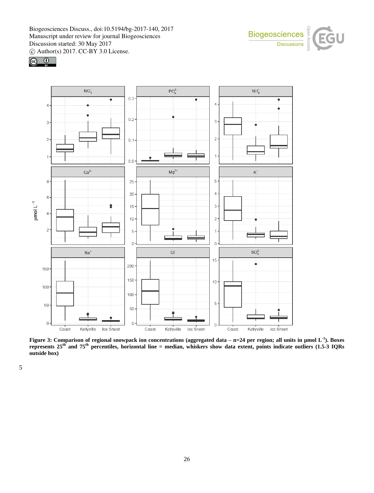





**Figure 3: Comparison of regional snowpack ion concentrations (aggregated data – n=24 per region; all units in µmol L -1 ). Boxes represents 25th and 75th percentiles, horizontal line = median, whiskers show data extent, points indicate outliers (1.5-3 IQRs outside box)**

5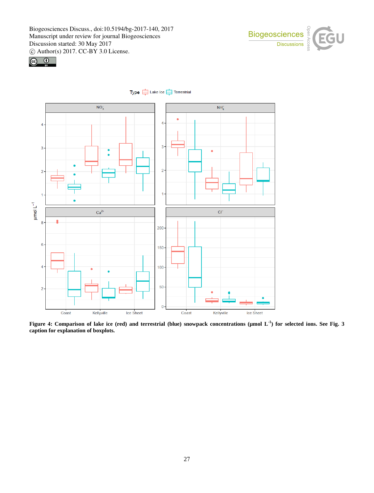





# **Figure 4: Comparison of lake ice (red) and terrestrial (blue) snowpack concentrations (µmol L-1 ) for selected ions. See Fig. 3 caption for explanation of boxplots.**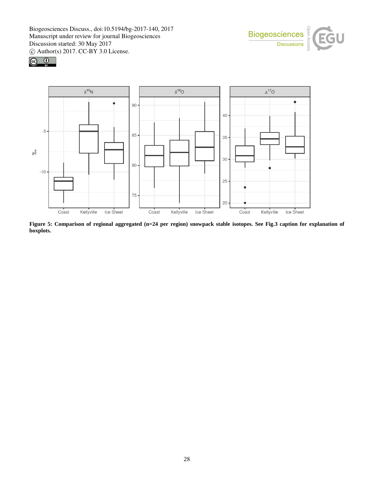





**Figure 5: Comparison of regional aggregated (n=24 per region) snowpack stable isotopes. See Fig.3 caption for explanation of boxplots.**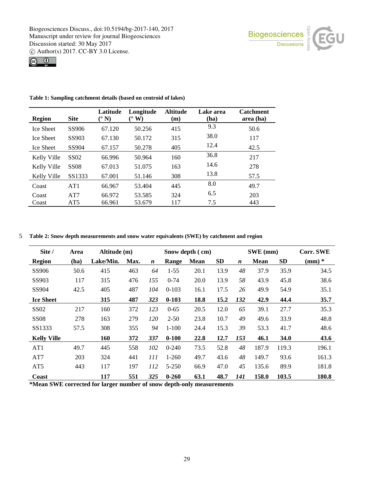



| <b>Region</b>    | <b>Site</b>      | Latitude<br>$(^\circ N)$ | Longitude<br>W) | <b>Altitude</b><br>(m) | Lake area<br>(ha) | <b>Catchment</b><br>area (ha) |
|------------------|------------------|--------------------------|-----------------|------------------------|-------------------|-------------------------------|
| <b>Ice Sheet</b> | SS906            | 67.120                   | 50.256          | 415                    | 9.3               | 50.6                          |
| <b>Ice Sheet</b> | SS903            | 67.130                   | 50.172          | 315                    | 38.0              | 117                           |
| <b>Ice Sheet</b> | SS904            | 67.157                   | 50.278          | 405                    | 12.4              | 42.5                          |
| Kelly Ville      | SS <sub>02</sub> | 66.996                   | 50.964          | 160                    | 36.8              | 217                           |
| Kelly Ville      | <b>SS08</b>      | 67.013                   | 51.075          | 163                    | 14.6              | 278                           |
| Kelly Ville      | SS1333           | 67.001                   | 51.146          | 308                    | 13.8              | 57.5                          |
| Coast            | AT <sub>1</sub>  | 66.967                   | 53.404          | 445                    | 8.0               | 49.7                          |
| Coast            | AT7              | 66.972                   | 53.585          | 324                    | 6.5               | 203                           |
| Coast            | AT5              | 66.961                   | 53.679          | 117                    | 7.5               | 443                           |

# **Table 1: Sampling catchment details (based on centroid of lakes)**

5 **Table 2: Snow depth measurements and snow water equivalents (SWE) by catchment and region**

| Site /             | Area |           | Altitude (m) |                  |           | Snow depth (cm) |           |                  | SWE (mm)    | Corr. SWE |          |
|--------------------|------|-----------|--------------|------------------|-----------|-----------------|-----------|------------------|-------------|-----------|----------|
| <b>Region</b>      | (ha) | Lake/Min. | Max.         | $\boldsymbol{n}$ | Range     | <b>Mean</b>     | <b>SD</b> | $\boldsymbol{n}$ | <b>Mean</b> | SD        | $(mm)$ * |
| SS906              | 50.6 | 415       | 463          | 64               | $1 - 55$  | 20.1            | 13.9      | 48               | 37.9        | 35.9      | 34.5     |
| SS903              | 117  | 315       | 476          | 155              | $0 - 74$  | 20.0            | 13.9      | 58               | 43.9        | 45.8      | 38.6     |
| SS904              | 42.5 | 405       | 487          | 104              | $0-103$   | 16.1            | 17.5      | 26               | 49.9        | 54.9      | 35.1     |
| <b>Ice Sheet</b>   |      | 315       | 487          | 323              | $0 - 103$ | 18.8            | 15.2      | 132              | 42.9        | 44.4      | 35.7     |
| <b>SS02</b>        | 217  | 160       | 372          | 123              | $0 - 65$  | 20.5            | 12.0      | 65               | 39.1        | 27.7      | 35.3     |
| <b>SS08</b>        | 278  | 163       | 279          | 120              | $2 - 50$  | 23.8            | 10.7      | 49               | 49.6        | 33.9      | 48.8     |
| SS1333             | 57.5 | 308       | 355          | 94               | $1 - 100$ | 24.4            | 15.3      | 39               | 53.3        | 41.7      | 48.6     |
| <b>Kelly Ville</b> |      | 160       | 372          | 337              | $0 - 100$ | 22.8            | 12.7      | 153              | 46.1        | 34.0      | 43.6     |
| AT <sub>1</sub>    | 49.7 | 445       | 558          | 102              | $0 - 240$ | 73.5            | 52.8      | 48               | 187.9       | 119.3     | 196.1    |
| AT7                | 203  | 324       | 441          | 111              | $1 - 260$ | 49.7            | 43.6      | 48               | 149.7       | 93.6      | 161.3    |
| AT <sub>5</sub>    | 443  | 117       | 197          | 112              | $5 - 250$ | 66.9            | 47.0      | 45               | 135.6       | 89.9      | 181.8    |
| Coast              |      | 117       | 551          | 325              | $0 - 260$ | 63.1            | 48.7      | 141              | 158.0       | 103.5     | 180.8    |

**\*Mean SWE corrected for larger number of snow depth-only measurements**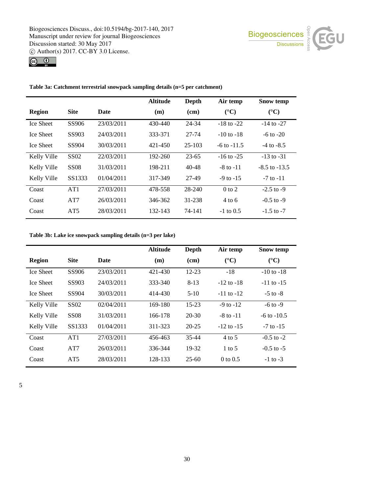



**Table 3a: Catchment terrestrial snowpack sampling details (n=5 per catchment)**

|                  |                  |            | <b>Altitude</b> | Depth      | Air temp          | Snow temp         |
|------------------|------------------|------------|-----------------|------------|-------------------|-------------------|
| <b>Region</b>    | <b>Site</b>      | Date       | (m)             | (cm)       | $({}^{\circ}C)$   | $({}^{\circ}C)$   |
| <b>Ice Sheet</b> | SS906            | 23/03/2011 | 430-440         | 24-34      | $-18$ to $-22$    | $-14$ to $-27$    |
| <b>Ice Sheet</b> | SS903            | 24/03/2011 | 333-371         | 27-74      | $-10$ to $-18$    | $-6$ to $-20$     |
| Ice Sheet        | SS904            | 30/03/2011 | 421-450         | $25 - 103$ | $-6$ to $-11.5$   | $-4$ to $-8.5$    |
| Kelly Ville      | SS <sub>02</sub> | 22/03/2011 | 192-260         | $23 - 65$  | $-16$ to $-25$    | $-13$ to $-31$    |
| Kelly Ville      | <b>SS08</b>      | 31/03/2011 | 198-211         | $40 - 48$  | $-8$ to $-11$     | $-8.5$ to $-13.5$ |
| Kelly Ville      | SS1333           | 01/04/2011 | 317-349         | 27-49      | $-9$ to $-15$     | $-7$ to $-11$     |
| Coast            | AT <sub>1</sub>  | 27/03/2011 | 478-558         | 28-240     | $0$ to $2$        | $-2.5$ to $-9$    |
| Coast            | AT <sub>7</sub>  | 26/03/2011 | 346-362         | 31-238     | $4 \text{ to } 6$ | $-0.5$ to $-9$    |
| Coast            | AT <sub>5</sub>  | 28/03/2011 | 132-143         | 74-141     | $-1$ to 0.5       | $-1.5$ to $-7$    |

**Table 3b: Lake ice snowpack sampling details (n=3 per lake)**

|                  |                 |            | <b>Altitude</b> | Depth     | Air temp          | Snow temp       |
|------------------|-----------------|------------|-----------------|-----------|-------------------|-----------------|
| <b>Region</b>    | <b>Site</b>     | Date       | (m)             | (cm)      | $({}^{\circ}C)$   | $({}^{\circ}C)$ |
| <b>Ice Sheet</b> | SS906           | 23/03/2011 | 421-430         | $12 - 23$ | $-18$             | $-10$ to $-18$  |
| <b>Ice Sheet</b> | SS903           | 24/03/2011 | 333-340         | $8 - 13$  | $-12$ to $-18$    | $-11$ to $-15$  |
| <b>Ice Sheet</b> | SS904           | 30/03/2011 | 414-430         | $5 - 10$  | $-11$ to $-12$    | $-5$ to $-8$    |
| Kelly Ville      | SS02            | 02/04/2011 | 169-180         | $15 - 23$ | $-9$ to $-12$     | $-6$ to $-9$    |
| Kelly Ville      | <b>SS08</b>     | 31/03/2011 | 166-178         | 20-30     | $-8$ to $-11$     | $-6$ to $-10.5$ |
| Kelly Ville      | SS1333          | 01/04/2011 | 311-323         | $20 - 25$ | $-12$ to $-15$    | $-7$ to $-15$   |
| Coast            | AT <sub>1</sub> | 27/03/2011 | 456-463         | $35 - 44$ | $4 \text{ to } 5$ | $-0.5$ to $-2$  |
| Coast            | AT <sub>7</sub> | 26/03/2011 | 336-344         | 19-32     | $1 \text{ to } 5$ | $-0.5$ to $-5$  |
| Coast            | AT5             | 28/03/2011 | 128-133         | $25-60$   | $0$ to $0.5$      | $-1$ to $-3$    |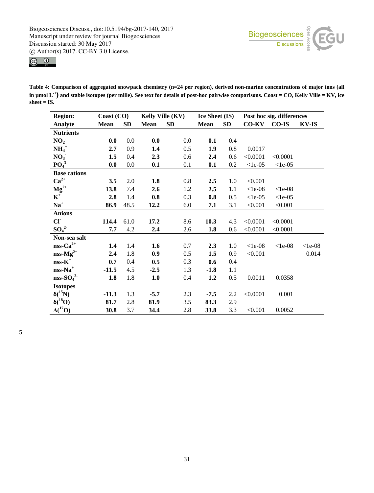



**Table 4: Comparison of aggregated snowpack chemistry (n=24 per region), derived non-marine concentrations of major ions (all in µmol L -1 ) and stable isotopes (per mille). See text for details of post-hoc pairwise comparisons. Coast = CO, Kelly Ville = KV, ice sheet = IS.**

| <b>Region:</b>               | Coast (CO) |           |             | Kelly Ville (KV) | <b>Ice Sheet (IS)</b> |           | Post hoc sig. differences |              |           |
|------------------------------|------------|-----------|-------------|------------------|-----------------------|-----------|---------------------------|--------------|-----------|
| Analyte                      | Mean       | <b>SD</b> | <b>Mean</b> | <b>SD</b>        | <b>Mean</b>           | <b>SD</b> | CO-KV                     | <b>CO-IS</b> | KV-IS     |
| <b>Nutrients</b>             |            |           |             |                  |                       |           |                           |              |           |
| NO <sub>2</sub>              | 0.0        | 0.0       | 0.0         | $0.0\,$          | 0.1                   | 0.4       |                           |              |           |
| $NH_4$ <sup>+</sup>          | 2.7        | 0.9       | 1.4         | 0.5              | 1.9                   | 0.8       | 0.0017                    |              |           |
| NO <sub>3</sub>              | 1.5        | 0.4       | 2.3         | 0.6              | 2.4                   | 0.6       | < 0.0001                  | < 0.0001     |           |
| PO <sub>4</sub> <sup>3</sup> | 0.0        | 0.0       | 0.1         | 0.1              | 0.1                   | 0.2       | $<$ 1e-05                 | $<$ 1e-05    |           |
| <b>Base cations</b>          |            |           |             |                  |                       |           |                           |              |           |
| $Ca^{2+}$                    | 3.5        | 2.0       | 1.8         | 0.8              | 2.5                   | 1.0       | < 0.001                   |              |           |
| $Mg^{2+}$                    | 13.8       | 7.4       | 2.6         | 1.2              | 2.5                   | 1.1       | $<$ 1e-08                 | $<$ 1e-08    |           |
| $\mathbf{K}^+$               | 2.8        | 1.4       | 0.8         | 0.3              | 0.8                   | 0.5       | $<$ 1e-05                 | $<$ 1e-05    |           |
| $Na+$                        | 86.9       | 48.5      | 12.2        | 6.0              | 7.1                   | 3.1       | < 0.001                   | < 0.001      |           |
| <b>Anions</b>                |            |           |             |                  |                       |           |                           |              |           |
| CI                           | 114.4      | 61.0      | 17.2        | 8.6              | 10.3                  | 4.3       | < 0.0001                  | < 0.0001     |           |
| $SO_4^2$                     | 7.7        | 4.2       | 2.4         | 2.6              | 1.8                   | 0.6       | < 0.0001                  | < 0.0001     |           |
| Non-sea salt                 |            |           |             |                  |                       |           |                           |              |           |
| $nss-Ca^{2+}$                | 1.4        | 1.4       | 1.6         | 0.7              | 2.3                   | 1.0       | $<$ 1e-08                 | $<$ 1e-08    | $<$ 1e-08 |
| $nss-Mg^{2+}$                | 2.4        | 1.8       | 0.9         | 0.5              | 1.5                   | 0.9       | < 0.001                   |              | 0.014     |
| $\text{nss-K}^+$             | 0.7        | 0.4       | 0.5         | 0.3              | 0.6                   | 0.4       |                           |              |           |
| $nss-Na^+$                   | $-11.5$    | 4.5       | $-2.5$      | 1.3              | $-1.8$                | 1.1       |                           |              |           |
| $nss-SO42$                   | 1.8        | 1.8       | 1.0         | 0.4              | 1.2                   | 0.5       | 0.0011                    | 0.0358       |           |
| <b>Isotopes</b>              |            |           |             |                  |                       |           |                           |              |           |
| $\delta(^{15}N)$             | $-11.3$    | 1.3       | $-5.7$      | 2.3              | $-7.5$                | 2.2       | < 0.0001                  | 0.001        |           |
| $\delta(^{18}\mathrm{O})$    | 81.7       | 2.8       | 81.9        | 3.5              | 83.3                  | 2.9       |                           |              |           |
| $\Delta(^{17}O)$             | 30.8       | 3.7       | 34.4        | 2.8              | 33.8                  | 3.3       | < 0.001                   | 0.0052       |           |